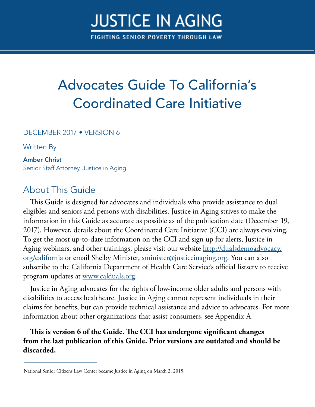# **JUSTICE IN AGING**

FIGHTING SENIOR POVERTY THROUGH LAW

## Advocates Guide To California's Coordinated Care Initiative

DECEMBER 2017 • VERSION 6

Written By

#### Amber Christ

Senior Staff Attorney, Justice in Aging

## About This Guide

This Guide is designed for advocates and individuals who provide assistance to dual eligibles and seniors and persons with disabilities. Justice in Aging strives to make the information in this Guide as accurate as possible as of the publication date (December 19, 2017). However, details about the Coordinated Care Initiative (CCI) are always evolving. To get the most up-to-date information on the CCI and sign up for alerts, Justice in Aging webinars, and other trainings, please visit our website [http://dualsdemoadvocacy.](http://dualsdemoadvocacy.org/california) [org/california](http://dualsdemoadvocacy.org/california) or email Shelby Minister, [sminister@justiceinaging.org](mailto:sminister%40justiceinaging.org?subject=). You can also subscribe to the California Department of Health Care Service's official listserv to receive program updates at [www.calduals.org](http://www.calduals.org/).

Justice in Aging advocates for the rights of low-income older adults and persons with disabilities to access healthcare. Justice in Aging cannot represent individuals in their claims for benefits, but can provide technical assistance and advice to advocates. For more information about other organizations that assist consumers, see Appendix A.

**This is version 6 of the Guide. The CCI has undergone significant changes from the last publication of this Guide. Prior versions are outdated and should be discarded.** 

National Senior Citizens Law Center became Justice in Aging on March 2, 2015.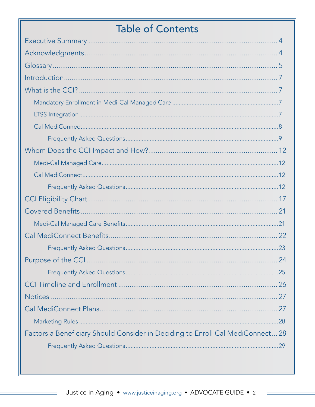## **Table of Contents**

|                                                                                | -24 |
|--------------------------------------------------------------------------------|-----|
|                                                                                |     |
|                                                                                |     |
|                                                                                |     |
|                                                                                |     |
|                                                                                |     |
| Factors a Beneficiary Should Consider in Deciding to Enroll Cal MediConnect 28 |     |
|                                                                                |     |
|                                                                                |     |

 $\equiv$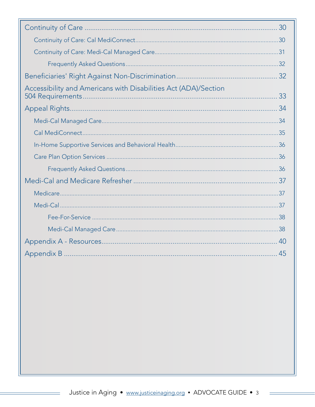| Accessibility and Americans with Disabilities Act (ADA)/Section |  |
|-----------------------------------------------------------------|--|
|                                                                 |  |
|                                                                 |  |
|                                                                 |  |
|                                                                 |  |
|                                                                 |  |
|                                                                 |  |
|                                                                 |  |
|                                                                 |  |
|                                                                 |  |
|                                                                 |  |
|                                                                 |  |
|                                                                 |  |
|                                                                 |  |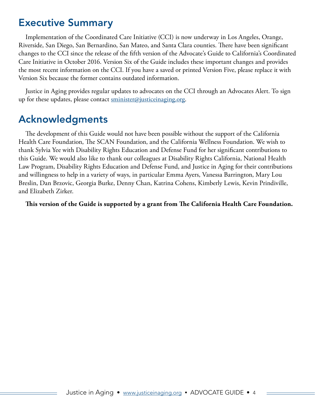## <span id="page-3-0"></span>Executive Summary

Implementation of the Coordinated Care Initiative (CCI) is now underway in Los Angeles, Orange, Riverside, San Diego, San Bernardino, San Mateo, and Santa Clara counties. There have been significant changes to the CCI since the release of the fifth version of the Advocate's Guide to California's Coordinated Care Initiative in October 2016. Version Six of the Guide includes these important changes and provides the most recent information on the CCI. If you have a saved or printed Version Five, please replace it with Version Six because the former contains outdated information.

Justice in Aging provides regular updates to advocates on the CCI through an Advocates Alert. To sign up for these updates, please contact  $\frac{\text{minister}}{\text{a}$  institutionaging.org.

## Acknowledgments

The development of this Guide would not have been possible without the support of the California Health Care Foundation, The SCAN Foundation, and the California Wellness Foundation. We wish to thank Sylvia Yee with Disability Rights Education and Defense Fund for her significant contributions to this Guide. We would also like to thank our colleagues at Disability Rights California, National Health Law Program, Disability Rights Education and Defense Fund, and Justice in Aging for their contributions and willingness to help in a variety of ways, in particular Emma Ayers, Vanessa Barrington, Mary Lou Breslin, Dan Brzovic, Georgia Burke, Denny Chan, Katrina Cohens, Kimberly Lewis, Kevin Prindiville, and Elizabeth Zirker.

#### **This version of the Guide is supported by a grant from The California Health Care Foundation.**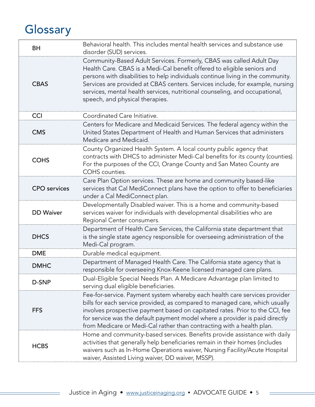## <span id="page-4-0"></span>**Glossary**

| <b>BH</b>           | Behavioral health. This includes mental health services and substance use<br>disorder (SUD) services.                                                                                                                                                                                                                                                                                                                                |
|---------------------|--------------------------------------------------------------------------------------------------------------------------------------------------------------------------------------------------------------------------------------------------------------------------------------------------------------------------------------------------------------------------------------------------------------------------------------|
| <b>CBAS</b>         | Community-Based Adult Services. Formerly, CBAS was called Adult Day<br>Health Care. CBAS is a Medi-Cal benefit offered to eligible seniors and<br>persons with disabilities to help individuals continue living in the community.<br>Services are provided at CBAS centers. Services include, for example, nursing<br>services, mental health services, nutritional counseling, and occupational,<br>speech, and physical therapies. |
| <b>CCI</b>          | Coordinated Care Initiative.                                                                                                                                                                                                                                                                                                                                                                                                         |
| <b>CMS</b>          | Centers for Medicare and Medicaid Services. The federal agency within the<br>United States Department of Health and Human Services that administers<br>Medicare and Medicaid.                                                                                                                                                                                                                                                        |
| <b>COHS</b>         | County Organized Health System. A local county public agency that<br>contracts with DHCS to administer Medi-Cal benefits for its county (counties).<br>For the purposes of the CCI, Orange County and San Mateo County are<br>COHS counties.                                                                                                                                                                                         |
| <b>CPO</b> services | Care Plan Option services. These are home and community based-like<br>services that Cal MediConnect plans have the option to offer to beneficiaries<br>under a Cal MediConnect plan.                                                                                                                                                                                                                                                 |
| <b>DD</b> Waiver    | Developmentally Disabled waiver. This is a home and community-based<br>services waiver for individuals with developmental disabilities who are<br>Regional Center consumers.                                                                                                                                                                                                                                                         |
| <b>DHCS</b>         | Department of Health Care Services, the California state department that<br>is the single state agency responsible for overseeing administration of the<br>Medi-Cal program.                                                                                                                                                                                                                                                         |
| <b>DME</b>          | Durable medical equipment.                                                                                                                                                                                                                                                                                                                                                                                                           |
| <b>DMHC</b>         | Department of Managed Health Care. The California state agency that is<br>responsible for overseeing Knox-Keene licensed managed care plans.                                                                                                                                                                                                                                                                                         |
| D-SNP               | Dual-Eligible Special Needs Plan. A Medicare Advantage plan limited to<br>serving dual eligible beneficiaries.                                                                                                                                                                                                                                                                                                                       |
| <b>FFS</b>          | Fee-for-service. Payment system whereby each health care services provider<br>bills for each service provided, as compared to managed care, which usually<br>involves prospective payment based on capitated rates. Prior to the CCI, fee<br>for service was the default payment model where a provider is paid directly<br>from Medicare or Medi-Cal rather than contracting with a health plan.                                    |
| <b>HCBS</b>         | Home and community-based services. Benefits provide assistance with daily<br>activities that generally help beneficiaries remain in their homes (includes<br>waivers such as In-Home Operations waiver, Nursing Facility/Acute Hospital<br>waiver, Assisted Living waiver, DD waiver, MSSP).                                                                                                                                         |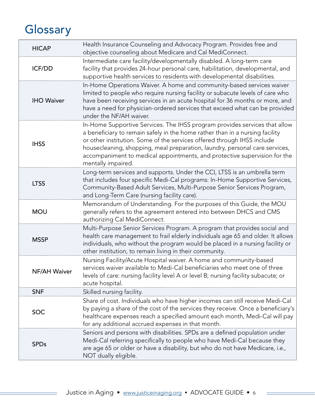## **Glossary**

| <b>HICAP</b>        | Health Insurance Counseling and Advocacy Program. Provides free and<br>objective counseling about Medicare and Cal MediConnect.                                                                                                                                                                                                                                                                                         |
|---------------------|-------------------------------------------------------------------------------------------------------------------------------------------------------------------------------------------------------------------------------------------------------------------------------------------------------------------------------------------------------------------------------------------------------------------------|
| <b>ICF/DD</b>       | Intermediate care facility/developmentally disabled. A long-term care<br>facility that provides 24-hour personal care, habilitation, developmental, and<br>supportive health services to residents with developmental disabilities.                                                                                                                                                                                     |
| <b>IHO Waiver</b>   | In-Home Operations Waiver. A home and community-based services waiver<br>limited to people who require nursing facility or subacute levels of care who<br>have been receiving services in an acute hospital for 36 months or more, and<br>have a need for physician-ordered services that exceed what can be provided<br>under the NF/AH waiver.                                                                        |
| <b>IHSS</b>         | In-Home Supportive Services. The IHSS program provides services that allow<br>a beneficiary to remain safely in the home rather than in a nursing facility<br>or other institution. Some of the services offered through IHSS include<br>housecleaning, shopping, meal preparation, laundry, personal care services,<br>accompaniment to medical appointments, and protective supervision for the<br>mentally impaired. |
| <b>LTSS</b>         | Long-term services and supports. Under the CCI, LTSS is an umbrella term<br>that includes four specific Medi-Cal programs: In-Home Supportive Services,<br>Community-Based Adult Services, Multi-Purpose Senior Services Program,<br>and Long-Term Care (nursing facility care).                                                                                                                                        |
| <b>MOU</b>          | Memorandum of Understanding. For the purposes of this Guide, the MOU<br>generally refers to the agreement entered into between DHCS and CMS<br>authorizing Cal MediConnect.                                                                                                                                                                                                                                             |
| <b>MSSP</b>         | Multi-Purpose Senior Services Program. A program that provides social and<br>health care management to frail elderly individuals age 65 and older. It allows<br>individuals, who without the program would be placed in a nursing facility or<br>other institution, to remain living in their community.                                                                                                                |
| <b>NF/AH Waiver</b> | Nursing Facility/Acute Hospital waiver. A home and community-based<br>services waiver available to Medi-Cal beneficiaries who meet one of three<br>levels of care: nursing facility level A or level B; nursing facility subacute; or<br>acute hospital.                                                                                                                                                                |
| <b>SNF</b>          | Skilled nursing facility.                                                                                                                                                                                                                                                                                                                                                                                               |
| <b>SOC</b>          | Share of cost. Individuals who have higher incomes can still receive Medi-Cal<br>by paying a share of the cost of the services they receive. Once a beneficiary's<br>healthcare expenses reach a specified amount each month, Medi-Cal will pay<br>for any additional accrued expenses in that month.                                                                                                                   |
| <b>SPDs</b>         | Seniors and persons with disabilities. SPDs are a defined population under<br>Medi-Cal referring specifically to people who have Medi-Cal because they<br>are age 65 or older or have a disability, but who do not have Medicare, i.e.,<br>NOT dually eligible.                                                                                                                                                         |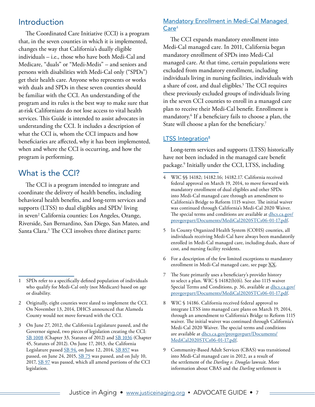### <span id="page-6-0"></span>Introduction

The Coordinated Care Initiative (CCI) is a program that, in the seven counties in which it is implemented, changes the way that California's dually eligible individuals – i.e., those who have both Medi-Cal and Medicare, "duals" or "Medi-Medis" – and seniors and persons with disabilities with Medi-Cal only ("SPDs") get their health care. Anyone who represents or works with duals and SPDs in these seven counties should be familiar with the CCI. An understanding of the program and its rules is the best way to make sure that at-risk Californians do not lose access to vital health services. This Guide is intended to assist advocates in understanding the CCI. It includes a description of what the CCI is, whom the CCI impacts and how beneficiaries are affected, why it has been implemented, when and where the CCI is occurring, and how the program is performing.

## What is the CCI?

The CCI is a program intended to integrate and coordinate the delivery of health benefits, including behavioral health benefits, and long-term services and supports (LTSS) to dual eligibles and  $SPDs<sup>1</sup>$  living in seven<sup>2</sup> California counties: Los Angeles, Orange, Riverside, San Bernardino, San Diego, San Mateo, and Santa Clara.<sup>3</sup> The CCI involves three distinct parts:

#### Mandatory Enrollment in Medi-Cal Managed Care<sup>4</sup>

The CCI expands mandatory enrollment into Medi-Cal managed care. In 2011, California began mandatory enrollment of SPDs into Medi-Cal managed care. At that time, certain populations were excluded from mandatory enrollment, including individuals living in nursing facilities, individuals with a share of cost, and dual eligibles.<sup>5</sup> The CCI requires these previously excluded groups of individuals living in the seven CCI counties to enroll in a managed care plan to receive their Medi-Cal benefit. Enrollment is mandatory.6 If a beneficiary fails to choose a plan, the State will choose a plan for the beneficiary.<sup>7</sup>

#### LTSS Integration<sup>8</sup>

Long-term services and supports (LTSS) historically have not been included in the managed care benefit package.9 Initially under the CCI, LTSS, including

- 6 For a description of the few limited exceptions to mandatory enrollment in Medi-Cal managed care, see page XX.
- 7 The State primarily uses a beneficiary's provider history to select a plan. WIC § 14182(b)(6). See also 1115 waiver Special Terms and Conditions, p. 36, available at [dhcs.ca.gov/](http://www.dhcs.ca.gov/provgovpart/Documents/MediCal2020STCs06-01-17.pdf) [provgovpart/Documents/MediCal2020STCs06-01-17.pdf.](http://www.dhcs.ca.gov/provgovpart/Documents/MediCal2020STCs06-01-17.pdf)
- 8 WIC § 14186. California received federal approval to integrate LTSS into managed care plans on March 19, 2014, through an amendment to California's Bridge to Reform 1115 waiver. The initial waiver was continued through California's Medi-Cal 2020 Waiver. The special terms and conditions are available at [dhcs.ca.gov/provgovpart/Documents/](http://www.dhcs.ca.gov/provgovpart/Documents/MediCal2020STCs06-01-17.pdf) [MediCal2020STCs06-01-17.pdf.](http://www.dhcs.ca.gov/provgovpart/Documents/MediCal2020STCs06-01-17.pdf)
- 9 Community-Based Adult Services (CBAS) was transitioned into Medi-Cal managed care in 2012, as a result of the settlement of the *Darling v. Douglas* lawsuit. More information about CBAS and the *Darling* settlement is

<sup>1</sup> SPDs refer to a specifically defined population of individuals who qualify for Medi-Cal only (not Medicare) based on age or disability.

<sup>2</sup> Originally, eight counties were slated to implement the CCI. On November 13, 2014, DHCS announced that Alameda County would not move forward with the CCI.

<sup>3</sup> On June 27, 2012, the California Legislature passed, and the Governor signed, two pieces of legislation creating the CCI: [SB 1008](http://www.leginfo.ca.gov/pub/11-12/bill/sen/sb_1001-1050/sb_1008_bill_20120627_chaptered.html) (Chapter 33, Statutes of 2012) and [SB 1036](http://www.leginfo.ca.gov/pub/11-12/bill/sen/sb_1001-1050/sb_1036_bill_20120627_chaptered.html) (Chapter 45, Statutes of 2012). On June 17, 2013, the California Legislature passed [SB 94,](http://www.leginfo.ca.gov/pub/13-14/bill/sen/sb_0051-0100/sb_94_bill_20130618_enrolled.pdf) on June 12, 2014, [SB 857](http://leginfo.legislature.ca.gov/faces/billNavClient.xhtml?bill_id=201320140SB857) was passed, on June 24, 2015, [SB 75](http://leginfo.legislature.ca.gov/faces/billNavClient.xhtml?bill_id=201520160SB75) was passed, and on July 10, 2017, [SB 97](http://leginfo.legislature.ca.gov/faces/billTextClient.xhtml?bill_id=201720180SB97) was passed, which all amend portions of the CCI legislation.

<sup>4</sup> WIC §§ 14182; 14182.16; 14182.17. California received federal approval on March 19, 2014, to move forward with mandatory enrollment of dual eligibles and other SPDs into Medi-Cal managed care through an amendment to California's Bridge to Reform 1115 waiver. The initial waiver was continued through California's Medi-Cal 2020 Waiver. The special terms and conditions are available at [dhcs.ca.gov/](http://www.dhcs.ca.gov/provgovpart/Documents/MediCal2020STCs06-01-17.pdf) [provgovpart/Documents/MediCal2020STCs06-01-17.pdf.](http://www.dhcs.ca.gov/provgovpart/Documents/MediCal2020STCs06-01-17.pdf)

In County Organized Health System (COHS) counties, all individuals receiving Medi-Cal have always been mandatorily enrolled in Medi-Cal managed care, including duals, share of cost, and nursing facility residents.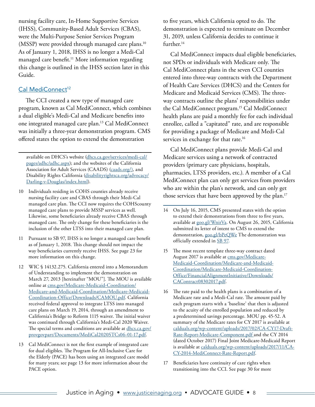<span id="page-7-0"></span>nursing facility care, In-Home Supportive Services (IHSS), Community-Based Adult Services (CBAS), were the Multi-Purpose Senior Services Program (MSSP) were provided through managed care plans.<sup>10</sup> As of January 1, 2018, IHSS is no longer a Medi-Cal managed care benefit.<sup>11</sup> More information regarding this change is outlined in the IHSS section later in this Guide.

#### Cal MediConnect<sup>12</sup>

The CCI created a new type of managed care program, known as Cal MediConnect, which combines a dual eligible's Medi-Cal and Medicare benefits into one integrated managed care plan.13 Cal MediConnect was initially a three-year demonstration program. CMS offered states the option to extend the demonstration

available on DHCS's website [\(dhcs.ca.gov/services/medi-cal/](http://www.dhcs.ca.gov/services/medi-cal/pages/adhc/adhc.aspx) [pages/adhc/adhc.aspx\)](http://www.dhcs.ca.gov/services/medi-cal/pages/adhc/adhc.aspx); and the websites of the California Association for Adult Services (CAADS) [\(caads.org/\)](http://www.caads.org/), and Disability Rights California ([disabilityrightsca.org/advocacy/](http://www.disabilityrightsca.org/advocacy/Darling-v-Douglas/index.html) [Darling-v-Douglas/index.html\)](http://www.disabilityrightsca.org/advocacy/Darling-v-Douglas/index.html).

- 10 Individuals residing in COHS counties already receive nursing facility care and CBAS through their Medi-Cal managed care plan. The CCI now requires the COHScounty managed care plans to provide MSSP services as well. Likewise, some beneficiaries already receive CBAS through managed care. The only change for these beneficiaries is the inclusion of the other LTSS into their managed care plan.
- 11 Pursuant to SB 97, IHSS is no longer a managed care benefit as of January 1, 2018. This change should not impact the way beneficiaries currently receive IHSS. See page 23 for more information on this change.
- 12 WIC § 14132.275. California entered into a Memorandum of Understanding to implement the demonstration on March 27, 2013 [hereinafter "MOU"]. The MOU is available online at [cms.gov/Medicare-Medicaid-Coordination/](http://www.cms.gov/Medicare-Medicaid-Coordination/Medicare-and-Medicaid-Coordination/Medicare-Medicaid-Coordination-Office/Downloads/CAMOU.pdf) [Medicare-and-Medicaid-Coordination/Medicare-Medicaid-](http://www.cms.gov/Medicare-Medicaid-Coordination/Medicare-and-Medicaid-Coordination/Medicare-Medicaid-Coordination-Office/Downloads/CAMOU.pdf)[Coordination-Office/Downloads/CAMOU.pdf.](http://www.cms.gov/Medicare-Medicaid-Coordination/Medicare-and-Medicaid-Coordination/Medicare-Medicaid-Coordination-Office/Downloads/CAMOU.pdf) California received federal approval to integrate LTSS into managed care plans on March 19, 2014, through an amendment to California's Bridge to Reform 1115 waiver. The initial waiver was continued through California's Medi-Cal 2020 Waiver. The special terms and conditions are available at [dhcs.ca.gov/](http://www.dhcs.ca.gov/provgovpart/Documents/MediCal2020STCs06-01-17.pdf) [provgovpart/Documents/MediCal2020STCs06-01-17.pdf](http://www.dhcs.ca.gov/provgovpart/Documents/MediCal2020STCs06-01-17.pdf).
- 13 Cal MediConnect is not the first example of integrated care for dual eligibles. The Program for All-Inclusive Care for the Elderly (PACE) has been using an integrated care model for many years; see page 13 for more information about the PACE option.

to five years, which California opted to do. The demonstration is expected to terminate on December 31, 2019, unless California decides to continue it further.<sup>14</sup>

Cal MediConnect impacts dual eligible beneficiaries, not SPDs or individuals with Medicare only. The Cal MediConnect plans in the seven CCI counties entered into three-way contracts with the Department of Health Care Services (DHCS) and the Centers for Medicare and Medicaid Services (CMS). The threeway contracts outline the plans' responsibilities under the Cal MediConnect program.15 Cal MediConnect health plans are paid a monthly fee for each individual enrollee, called a "capitated" rate, and are responsible for providing a package of Medicare and Medi-Cal services in exchange for that rate.<sup>16</sup>

Cal MediConnect plans provide Medi-Cal and Medicare services using a network of contracted providers (primary care physicians, hospitals, pharmacies, LTSS providers, etc.). A member of a Cal MediConnect plan can only get services from providers who are within the plan's network, and can only get those services that have been approved by the plan.<sup>17</sup>

- 15 The most recent template three-way contract dated August 2017 is available at [cms.gov/Medicare-](https://www.cms.gov/Medicare-Medicaid-Coordination/Medicare-and-Medicaid-Coordination/Medicare-Medicaid-Coordination-Office/FinancialAlignmentInitiative/Downloads/CAContract08302017.pdf)[Medicaid-Coordination/Medicare-and-Medicaid-](https://www.cms.gov/Medicare-Medicaid-Coordination/Medicare-and-Medicaid-Coordination/Medicare-Medicaid-Coordination-Office/FinancialAlignmentInitiative/Downloads/CAContract08302017.pdf)[Coordination/Medicare-Medicaid-Coordination-](https://www.cms.gov/Medicare-Medicaid-Coordination/Medicare-and-Medicaid-Coordination/Medicare-Medicaid-Coordination-Office/FinancialAlignmentInitiative/Downloads/CAContract08302017.pdf)[Office/FinancialAlignmentInitiative/Downloads/](https://www.cms.gov/Medicare-Medicaid-Coordination/Medicare-and-Medicaid-Coordination/Medicare-Medicaid-Coordination-Office/FinancialAlignmentInitiative/Downloads/CAContract08302017.pdf) [CAContract08302017.pdf.](https://www.cms.gov/Medicare-Medicaid-Coordination/Medicare-and-Medicaid-Coordination/Medicare-Medicaid-Coordination-Office/FinancialAlignmentInitiative/Downloads/CAContract08302017.pdf)
- 16 The rate paid to the health plans is a combination of a Medicare rate and a Medi-Cal rate. The amount paid by each program starts with a 'baseline' that then is adjusted to the acuity of the enrolled population and reduced by a predetermined savings percentage. MOU pp. 45-52. A summary of the Medicare rates for CY 2017 is available at [calduals.org/wp-content/uploads/2017/02/CA-CY17-Draft-](http://calduals.org/wp-content/uploads/2017/02/CA-CY17-Draft-Rate-Report-Medicare-Component.pdf)[Rate-Report-Medicare-Component.pdf](http://calduals.org/wp-content/uploads/2017/02/CA-CY17-Draft-Rate-Report-Medicare-Component.pdf) and the CY 2014 (dated October 2017) Final Joint Medicare-Medicaid Report is available at [calduals.org/wp-content/uploads/2017/11/CA-](http://calduals.org/wp-content/uploads/2017/11/CA-CY-2014-MediConnect-Rate-Report.pdf)[CY-2014-MediConnect-Rate-Report.pdf.](http://calduals.org/wp-content/uploads/2017/11/CA-CY-2014-MediConnect-Rate-Report.pdf)
- 17 Beneficiaries have continuity of care rights when transitioning into the CCI. See page 30 for more

<sup>14</sup> On July 16, 2015, CMS presented states with the option to extend their demonstrations from three to five years, available at [goo.gl/WnirVa](https://goo.gl/WnirVa). On August 26, 2015, California submitted its letter of intent to CMS to extend the demonstration, [goo.gl/bPeQWe](https://goo.gl/bPeQWe) The demonstration was officially extended in [SB 97](http://leginfo.legislature.ca.gov/faces/billTextClient.xhtml?bill_id=201720180SB97).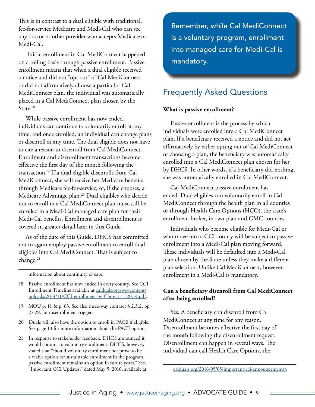<span id="page-8-0"></span>This is in contrast to a dual eligible with traditional, fee-for-service Medicare and Medi-Cal who can see any doctor or other provider who accepts Medicare or Medi-Cal.

 Initial enrollment in Cal MediConnect happened on a rolling basis through passive enrollment. Passive enrollment means that when a dual eligible received a notice and did not "opt out" of Cal MediConnect or did not affirmatively choose a particular Cal MediConnect plan, the individual was automatically placed in a Cal MediConnect plan chosen by the State.<sup>18</sup>

While passive enrollment has now ended, individuals can continue to voluntarily enroll at any time, and once enrolled, an individual can change plans or disenroll at any time. The dual eligible does not have to cite a reason to disenroll from Cal MediConnect. Enrollment and disenrollment transactions become effective the first day of the month following the transaction.19 If a dual eligible disenrolls from Cal MediConnect, she will receive her Medicare benefits through Medicare fee-for-service, or, if she chooses, a Medicare Advantage plan.<sup>20</sup> Dual eligibles who decide not to enroll in a Cal MediConnect plan must still be enrolled in a Medi-Cal managed care plan for their Medi-Cal benefits. Enrollment and disenrollment is covered in greater detail later in this Guide.

As of the date of this Guide, DHCS has committed not to again employ passive enrollment to enroll dual eligibles into Cal MediConnect. That is subject to change.<sup>21</sup>

information about continuity of care.

18 Passive enrollment has now ended in every county. See CCI Enrollment Timeline available at [calduals.org/wp-content/](http://www.calduals.org/wp-content/uploads/2014/11/CCI-enrollment-by-County-11.20.14.pdf) [uploads/2014/11/CCI-enrollment-by-County-11.20.14.pdf](http://www.calduals.org/wp-content/uploads/2014/11/CCI-enrollment-by-County-11.20.14.pdf).

- 19 MOU p. 11 & p. 63. See also three-way contract § 2.3.2, pp. 27-29, for disenrollment triggers.
- 20 Duals will also have the option to enroll in PACE if eligible. See page 13 for more information about the PACE option.
- 21 In response to stakeholder feedback, DHCS announced it would commit to voluntary enrollment. DHCS, however, stated that "should voluntary enrollment not prove to be a viable option for sustainable enrollment in the program, passive enrollment remains an option in future years." See, "Important CCI Updates," dated May 5, 2016, available at

Remember, while Cal MediConnect is a voluntary program, enrollment into managed care for Medi-Cal is mandatory.

## Frequently Asked Questions

#### **What is passive enrollment?**

Passive enrollment is the process by which individuals were enrolled into a Cal MediConnect plan. If a beneficiary received a notice and did not act affirmatively by either opting out of Cal MediConnect or choosing a plan, the beneficiary was automatically enrolled into a Cal MediConnect plan chosen for her by DHCS. In other words, if a beneficiary did nothing, she was automatically enrolled in Cal MediConnect.

Cal MediConnect passive enrollment has ended. Dual eligibles can voluntarily enroll in Cal MediConnect through the health plan in all counties or through Health Care Options (HCO), the state's enrollment broker, in two-plan and GMC counties.

Individuals who become eligible for Medi-Cal or who move into a CCI county will be subject to passive enrollment into a Medi-Cal plan moving forward. These individuals will be defaulted into a Medi-Cal plan chosen by the State unless they make a different plan selection. Unlike Cal MediConnect, however, enrollment in a Medi-Cal is mandatory.

#### **Can a beneficiary disenroll from Cal MediConnect after being enrolled?**

Yes. A beneficiary can disenroll from Cal MediConnect at any time for any reason. Disenrollment becomes effective the first day of the month following the disenrollment request. Disenrollment can happen in several ways. The individual can call Health Care Options, the

[calduals.org/2016/05/05/important-cci-announcements/.](http://calduals.org/2016/05/05/important-cci-announcements/)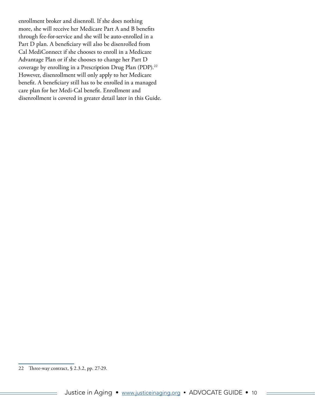enrollment broker and disenroll. If she does nothing more, she will receive her Medicare Part A and B benefits through fee-for-service and she will be auto-enrolled in a Part D plan. A beneficiary will also be disenrolled from Cal MediConnect if she chooses to enroll in a Medicare Advantage Plan or if she chooses to change her Part D coverage by enrolling in a Prescription Drug Plan (PDP).<sup>22</sup> However, disenrollment will only apply to her Medicare benefit. A beneficiary still has to be enrolled in a managed care plan for her Medi-Cal benefit. Enrollment and disenrollment is covered in greater detail later in this Guide.

<sup>22</sup> Three-way contract, § 2.3.2, pp. 27-29.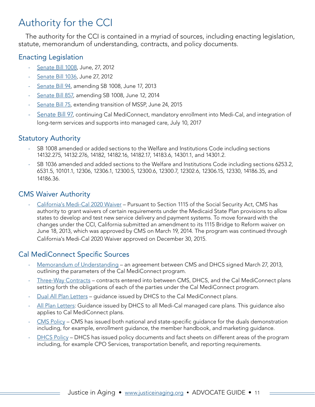## Authority for the CCI

The authority for the CCI is contained in a myriad of sources, including enacting legislation, statute, memorandum of understanding, contracts, and policy documents.

### Enacting Legislation

- ‐ [Senate Bill 1008](http://www.leginfo.ca.gov/pub/11-12/bill/sen/sb_1001-1050/sb_1008_bill_20120627_chaptered.html), June, 27, 2012
- ‐ [Senate Bill 1036,](http://www.leginfo.ca.gov/pub/11-12/bill/sen/sb_1001-1050/sb_1036_bill_20120627_chaptered.html) June 27, 2012
- ‐ [Senate Bill 94](http://www.leginfo.ca.gov/pub/13-14/bill/sen/sb_0051-0100/sb_94_bill_20130618_enrolled.pdf), amending SB 1008, June 17, 2013
- ‐ [Senate Bill 857,](http://www.leginfo.ca.gov/pub/13-14/bill/sen/sb_0851-0900/sb_857_bill_20140612_amended_asm_v98.pdf) amending SB 1008, June 12, 2014
- [Senate Bill 75](http://leginfo.legislature.ca.gov/faces/billNavClient.xhtml?bill_id=201520160SB75), extending transition of MSSP, June 24, 2015
- [Senate Bill 97](http://leginfo.legislature.ca.gov/faces/billTextClient.xhtml?bill_id=201720180SB97), continuing Cal MediConnect, mandatory enrollment into Medi-Cal, and integration of long-term services and supports into managed care, July 10, 2017

### Statutory Authority

- SB 1008 amended or added sections to the Welfare and Institutions Code including sections 14132.275, 14132.276, 14182, 14182.16, 14182.17, 14183.6, 14301.1, and 14301.2.
- SB 1036 amended and added sections to the Welfare and Institutions Code including sections 6253.2, 6531.5, 10101.1, 12306, 12306.1, 12300.5, 12300.6, 12300.7, 12302.6, 12306.15, 12330, 14186.35, and 14186.36.

### CMS Waiver Authority

‐ [California's Medi-Cal 2020 Waiver](http://www.dhcs.ca.gov/provgovpart/Documents/MediCal2020STCs06-01-17.pdf) – Pursuant to Section 1115 of the Social Security Act, CMS has authority to grant waivers of certain requirements under the Medicaid State Plan provisions to allow states to develop and test new service delivery and payment systems. To move forward with the changes under the CCI, California submitted an amendment to its 1115 Bridge to Reform waiver on June 18, 2013, which was approved by CMS on March 19, 2014. The program was continued through California's Medi-Cal 2020 Waiver approved on December 30, 2015.

## Cal MediConnect Specific Sources

- [Memorandum of Understanding](https://www.cms.gov/Medicare-Medicaid-Coordination/Medicare-and-Medicaid-Coordination/Medicare-Medicaid-Coordination-Office/Downloads/CAMOU.pdf)  an agreement between CMS and DHCS signed March 27, 2013, outlining the parameters of the Cal MediConnect program.
- ‐ [Three-Way Contracts](https://www.cms.gov/Medicare-Medicaid-Coordination/Medicare-and-Medicaid-Coordination/Medicare-Medicaid-Coordination-Office/FinancialAlignmentInitiative/Downloads/CAContract08302017.pdf) contracts entered into between CMS, DHCS, and the Cal MediConnect plans setting forth the obligations of each of the parties under the Cal MediConnect program.
- [Dual All Plan Letters](http://www.dhcs.ca.gov/formsandpubs/Pages/MMCDDualsPlanLetters.aspx)  guidance issued by DHCS to the Cal MediConnect plans.
- [All Plan Letters](http://www.dhcs.ca.gov/formsandpubs/Pages/AllPlanLetters.aspx): Guidance issued by DHCS to all Medi-Cal managed care plans. This quidance also applies to Cal MediConnect plans.
- [CMS Policy](http://www.cms.gov/Medicare-Medicaid-Coordination/Medicare-and-Medicaid-Coordination/Medicare-Medicaid-Coordination-Office/FinancialAlignmentInitiative/FinancialModelstoSupportStatesEffortsinCareCoordination.html)  CMS has issued both national and state-specific quidance for the duals demonstration including, for example, enrollment guidance, the member handbook, and marketing guidance.
- [DHCS Policy](http://www.calduals.org/) DHCS has issued policy documents and fact sheets on different areas of the program including, for example CPO Services, transportation benefit, and reporting requirements.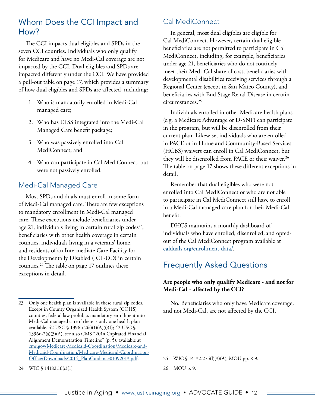## <span id="page-11-0"></span>Whom Does the CCI Impact and How?

The CCI impacts dual eligibles and SPDs in the seven CCI counties. Individuals who only qualify for Medicare and have no Medi-Cal coverage are not impacted by the CCI. Dual eligibles and SPDs are impacted differently under the CCI. We have provided a pull-out table on page 17, which provides a summary of how dual eligibles and SPDs are affected, including:

- 1. Who is mandatorily enrolled in Medi-Cal managed care;
- 2. Who has LTSS integrated into the Medi-Cal Managed Care benefit package;
- 3. Who was passively enrolled into Cal MediConnect; and
- 4. Who can participate in Cal MediConnect, but were not passively enrolled.

## Medi-Cal Managed Care

Most SPDs and duals must enroll in some form of Medi-Cal managed care. There are few exceptions to mandatory enrollment in Medi-Cal managed care. These exceptions include beneficiaries under age 21, individuals living in certain rural zip codes $23$ , beneficiaries with other health coverage in certain counties, individuals living in a veterans' home, and residents of an Intermediate Care Facility for the Developmentally Disabled (ICF-DD) in certain counties.24 The table on page 17 outlines these exceptions in detail.

Cal MediConnect

In general, most dual eligibles are eligible for Cal MediConnect. However, certain dual eligible beneficiaries are not permitted to participate in Cal MediConnect, including, for example, beneficiaries under age 21, beneficiaries who do not routinely meet their Medi-Cal share of cost, beneficiaries with developmental disabilities receiving services through a Regional Center (except in San Mateo County), and beneficiaries with End Stage Renal Disease in certain circumstances.25

Individuals enrolled in other Medicare health plans (e.g. a Medicare Advantage or D-SNP) can participate in the program, but will be disenrolled from their current plan. Likewise, individuals who are enrolled in PACE or in Home and Community-Based Services (HCBS) waivers can enroll in Cal MediConnect, but they will be disenrolled from PACE or their waiver.<sup>26</sup> The table on page 17 shows these different exceptions in detail.

Remember that dual eligibles who were not enrolled into Cal MediConnect or who are not able to participate in Cal MediConnect still have to enroll in a Medi-Cal managed care plan for their Medi-Cal benefit.

DHCS maintains a monthly dashboard of individuals who have enrolled, disenrolled, and optedout of the Cal MediConnect program available at [calduals.org/enrollment-data/](http://www.calduals.org/enrollment-data/).

## Frequently Asked Questions

#### **Are people who only qualify Medicare - and not for Medi-Cal - affected by the CCI?**

No. Beneficiaries who only have Medicare coverage, and not Medi-Cal, are not affected by the CCI.

25 WIC § 14132.275(l)(3)(A); MOU pp. 8-9.

26 MOU p. 9.

24 WIC § 14182.16(c)(1).

<sup>23</sup> Only one health plan is available in these rural zip codes. Except in County Organized Health System (COHS) counties, federal law prohibits mandatory enrollment into Medi-Cal managed care if there is only one health plan available. 42 USC § 1396u-2(a)(1)(A)(i)(I); 42 USC § 1396u-2(a)(3)(A); see also CMS "2014 Capitated Financial Alignment Demonstration Timeline" (p. 5), available at [cms.gov/Medicare-Medicaid-Coordination/Medicare-and-](http://cms.gov/Medicare-Medicaid-Coordination/Medicare-and-Medicaid-Coordination/Medicare-Medicaid-Coordination-Office/Downloads/2014_PlanGuidance01092013.pdf)[Medicaid-Coordination/Medicare-Medicaid-Coordination-](http://cms.gov/Medicare-Medicaid-Coordination/Medicare-and-Medicaid-Coordination/Medicare-Medicaid-Coordination-Office/Downloads/2014_PlanGuidance01092013.pdf)[Office/Downloads/2014\\_PlanGuidance01092013.pdf](http://cms.gov/Medicare-Medicaid-Coordination/Medicare-and-Medicaid-Coordination/Medicare-Medicaid-Coordination-Office/Downloads/2014_PlanGuidance01092013.pdf).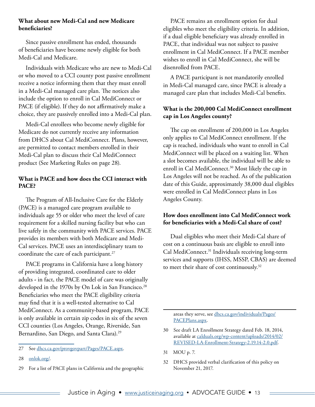#### **What about new Medi-Cal and new Medicare beneficiaries?**

Since passive enrollment has ended, thousands of beneficiaries have become newly eligible for both Medi-Cal and Medicare.

Individuals with Medicare who are new to Medi-Cal or who moved to a CCI county post passive enrollment receive a notice informing them that they must enroll in a Medi-Cal managed care plan. The notices also include the option to enroll in Cal MediConnect or PACE (if eligible). If they do not affirmatively make a choice, they are passively enrolled into a Medi-Cal plan.

Medi-Cal enrollees who become newly eligible for Medicare do not currently receive any information from DHCS about Cal MediConnect. Plans, however, are permitted to contact members enrolled in their Medi-Cal plan to discuss their Cal MediConnect product (See Marketing Rules on page 28).

#### **What is PACE and how does the CCI interact with PACE?**

The Program of All-Inclusive Care for the Elderly (PACE) is a managed care program available to individuals age 55 or older who meet the level of care requirement for a skilled nursing facility but who can live safely in the community with PACE services. PACE provides its members with both Medicare and Medi-Cal services. PACE uses an interdisciplinary team to coordinate the care of each participant.<sup>27</sup>

PACE programs in California have a long history of providing integrated, coordinated care to older adults **-** in fact, the PACE model of care was originally developed in the 1970s by On Lok in San Francisco.<sup>28</sup> Beneficiaries who meet the PACE eligibility criteria may find that it is a well-tested alternative to Cal MediConnect. As a community-based program, PACE is only available in certain zip codes in six of the seven CCI counties (Los Angeles, Orange, Riverside, San Bernardino, San Diego, and Santa Clara).<sup>29</sup>

PACE remains an enrollment option for dual eligibles who meet the eligibility criteria. In addition, if a dual eligible beneficiary was already enrolled in PACE, that individual was not subject to passive enrollment in Cal MediConnect. If a PACE member wishes to enroll in Cal MediConnect, she will be disenrolled from PACE.

A PACE participant is not mandatorily enrolled in Medi-Cal managed care, since PACE is already a managed care plan that includes Medi-Cal benefits.

#### **What is the 200,000 Cal MediConnect enrollment cap in Los Angeles county?**

The cap on enrollment of 200,000 in Los Angeles only applies to Cal MediConnect enrollment. If the cap is reached, individuals who want to enroll in Cal MediConnect will be placed on a waiting list. When a slot becomes available, the individual will be able to enroll in Cal MediConnect.<sup>30</sup> Most likely the cap in Los Angeles will not be reached. As of the publication date of this Guide, approximately 38,000 dual eligibles were enrolled in Cal MediConnect plans in Los Angeles County.

#### **How does enrollment into Cal MediConnect work for beneficiaries with a Medi-Cal share of cost?**

Dual eligibles who meet their Medi-Cal share of cost on a continuous basis are eligible to enroll into Cal MediConnect.<sup>31</sup> Individuals receiving long-term services and supports (IHSS, MSSP, CBAS) are deemed to meet their share of cost continuously.<sup>32</sup>

areas they serve, see [dhcs.ca.gov/individuals/Pages/](http://www.dhcs.ca.gov/individuals/Pages/PACEPlans.aspx) [PACEPlans.aspx.](http://www.dhcs.ca.gov/individuals/Pages/PACEPlans.aspx)

- 30 See draft LA Enrollment Strategy dated Feb. 18, 2014, available at [calduals.org/wp-content/uploads/2014/02/](http://www.calduals.org/wp-content/uploads/2014/02/REVISED-LA-Enrollment-Strategy-2.19.14-2.0.pdf) [REVISED-LA-Enrollment-Strategy-2.19.14-2.0.pdf.](http://www.calduals.org/wp-content/uploads/2014/02/REVISED-LA-Enrollment-Strategy-2.19.14-2.0.pdf)
- 31 MOU p. 7.
- 32 DHCS provided verbal clarification of this policy on November 21, 2017.

<sup>27</sup> See [dhcs.ca.gov/provgovpart/Pages/PACE.aspx.](http://www.dhcs.ca.gov/provgovpart/Pages/PACE.aspx)

<sup>28</sup> [onlok.org/](https://www.onlok.org/).

<sup>29</sup> For a list of PACE plans in California and the geographic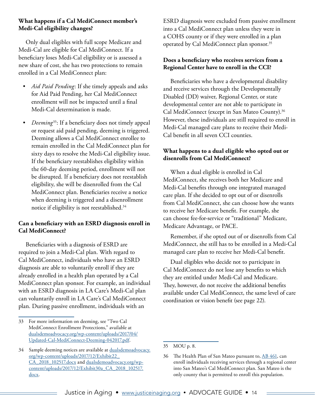#### **What happens if a Cal MediConnect member's Medi-Cal eligibility changes?**

Only dual eligibles with full scope Medicare and Medi-Cal are eligible for Cal MediConnect. If a beneficiary loses Medi-Cal eligibility or is assessed a new share of cost, she has two protections to remain enrolled in a Cal MediConnect plan:

- *• Aid Paid Pending*: If she timely appeals and asks for Aid Paid Pending, her Cal MediConnect enrollment will not be impacted until a final Medi-Cal determination is made.
- *• Deeming*33: If a beneficiary does not timely appeal or request aid paid pending, deeming is triggered. Deeming allows a Cal MediConnect enrollee to remain enrolled in the Cal MediConnect plan for sixty days to resolve the Medi-Cal eligibility issue. If the beneficiary reestablishes eligibility within the 60-day deeming period, enrollment will not be disrupted. If a beneficiary does not reestablish eligibility, she will be disenrolled from the Cal MediConnect plan. Beneficiaries receive a notice when deeming is triggered and a disenrollment notice if eligibility is not reestablished.34

#### **Can a beneficiary with an ESRD diagnosis enroll in Cal MediConnect?**

Beneficiaries with a diagnosis of ESRD are required to join a Medi-Cal plan. With regard to Cal MediConnect, individuals who have an ESRD diagnosis are able to voluntarily enroll if they are already enrolled in a health plan operated by a Cal MediConnect plan sponsor. For example, an individual with an ESRD diagnosis in LA Care's Medi-Cal plan can voluntarily enroll in LA Care's Cal MediConnect plan. During passive enrollment, individuals with an

ESRD diagnosis were excluded from passive enrollment into a Cal MediConnect plan unless they were in a COHS county or if they were enrolled in a plan operated by Cal MediConnect plan sponsor.<sup>35</sup>

#### **Does a beneficiary who receives services from a Regional Center have to enroll in the CCI?**

Beneficiaries who have a developmental disability and receive services through the Developmentally Disabled (DD) waiver, Regional Center, or state developmental center are not able to participate in Cal MediConnect (except in San Mateo County).<sup>36</sup> However, these individuals are still required to enroll in Medi-Cal managed care plans to receive their Medi-Cal benefit in all seven CCI counties.

#### **What happens to a dual eligible who opted out or disenrolls from Cal MediConnect?**

When a dual eligible is enrolled in Cal MediConnect, she receives both her Medicare and Medi-Cal benefits through one integrated managed care plan. If she decided to opt out of or disenrolls from Cal MediConnect, she can choose how she wants to receive her Medicare benefit. For example, she can choose fee-for-service or "traditional" Medicare, Medicare Advantage, or PACE.

Remember, if she opted out of or disenrolls from Cal MediConnect, she still has to be enrolled in a Medi-Cal managed care plan to receive her Medi-Cal benefit.

Dual eligibles who decide not to participate in Cal MediConnect do not lose any benefits to which they are entitled under Medi-Cal and Medicare. They, however, do not receive the additional benefits available under Cal MediConnect, the same level of care coordination or vision benefit (see page 22).

<sup>33</sup> For more information on deeming, see "Two Cal MediConnect Enrollment Protections," available at [dualsdemoadvocacy.org/wp-content/uploads/2017/04/](http://www.dualsdemoadvocacy.org/wp-content/uploads/2017/04/Updated-Cal-MediConnect-Deeming-042017.pdf) [Updated-Cal-MediConnect-Deeming-042017.pdf](http://www.dualsdemoadvocacy.org/wp-content/uploads/2017/04/Updated-Cal-MediConnect-Deeming-042017.pdf).

<sup>34</sup> Sample deeming notices are available at [dualsdemoadvocacy.](http://www.dualsdemoadvocacy.org/wp-content/uploads/2017/12/Exhibit22_CA_2018_102517.docx) [org/wp-content/uploads/2017/12/Exhibit22\\_](http://www.dualsdemoadvocacy.org/wp-content/uploads/2017/12/Exhibit22_CA_2018_102517.docx) [CA\\_2018\\_102517.docx](http://www.dualsdemoadvocacy.org/wp-content/uploads/2017/12/Exhibit22_CA_2018_102517.docx) and [dualsdemoadvocacy.org/wp](http://www.dualsdemoadvocacy.org/wp-content/uploads/2017/12/Exhibit30a_CA_2018_102517.docx)[content/uploads/2017/12/Exhibit30a\\_CA\\_2018\\_102517.](http://www.dualsdemoadvocacy.org/wp-content/uploads/2017/12/Exhibit30a_CA_2018_102517.docx) [docx.](http://www.dualsdemoadvocacy.org/wp-content/uploads/2017/12/Exhibit30a_CA_2018_102517.docx)

<sup>35</sup> MOU p. 8.

<sup>36</sup> The Health Plan of San Mateo pursuant to, [AB 461,](https://leginfo.legislature.ca.gov/faces/billTextClient.xhtml;jsessionid=c3a47a8534fe4fdb496fb5aebc4b?bill_id=201520160AB461) can enroll individuals receiving services through a regional center into San Mateo's Cal MediConnect plan. San Mateo is the only county that is permitted to enroll this population.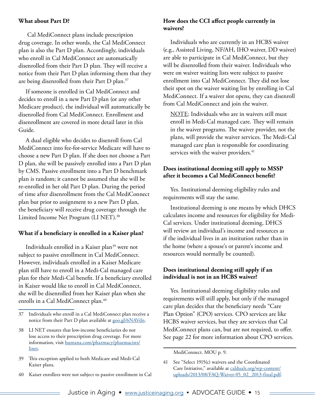#### **What about Part D?**

 Cal MediConnect plans include prescription drug coverage. In other words, the Cal MediConnect plan is also the Part D plan. Accordingly, individuals who enroll in Cal MediConnect are automatically disenrolled from their Part D plan. They will receive a notice from their Part D plan informing them that they are being disenrolled from their Part D plan.37

If someone is enrolled in Cal MediConnect and decides to enroll in a new Part D plan (or any other Medicare product), the individual will automatically be disenrolled from Cal MediConnect. Enrollment and disenrollment are covered in more detail later in this Guide.

A dual eligible who decides to disenroll from Cal MediConnect into fee-for-service Medicare will have to choose a new Part D plan. If she does not choose a Part D plan, she will be passively enrolled into a Part D plan by CMS. Passive enrollment into a Part D benchmark plan is random; it cannot be assumed that she will be re-enrolled in her old Part D plan. During the period of time after disenrollment from the Cal MediConnect plan but prior to assignment to a new Part D plan, the beneficiary will receive drug coverage through the Limited Income Net Program (LI NET).<sup>38</sup>

#### **What if a beneficiary is enrolled in a Kaiser plan?**

Individuals enrolled in a Kaiser plan<sup>39</sup> were not subject to passive enrollment in Cal MediConnect. However, individuals enrolled in a Kaiser Medicare plan still have to enroll in a Medi-Cal managed care plan for their Medi-Cal benefit. If a beneficiary enrolled in Kaiser would like to enroll in Cal MediConnect, she will be disenrolled from her Kaiser plan when she enrolls in a Cal MediConnect plan.<sup>40</sup>

#### **How does the CCI affect people currently in waivers?**

Individuals who are currently in an HCBS waiver (e.g., Assisted Living, NF/AH, IHO waiver, DD waiver) are able to participate in Cal MediConnect, but they will be disenrolled from their waiver. Individuals who were on waiver waiting lists were subject to passive enrollment into Cal MediConnect. They did not lose their spot on the waiver waiting list by enrolling in Cal MediConnect. If a waiver slot opens, they can disenroll from Cal MediConnect and join the waiver.

NOTE: Individuals who are in waivers still must enroll in Medi-Cal managed care. They will remain in the waiver programs. The waiver provider, not the plans, will provide the waiver services. The Medi-Cal managed care plan is responsible for coordinating services with the waiver providers.<sup>41</sup>

#### **Does institutional deeming still apply to MSSP after it becomes a Cal MediConnect benefit?**

Yes. Institutional deeming eligibility rules and requirements will stay the same.

Institutional deeming is one means by which DHCS calculates income and resources for eligibility for Medi-Cal services. Under institutional deeming, DHCS will review an individual's income and resources as if the individual lives in an institution rather than in the home (where a spouse's or parent's income and resources would normally be counted).

#### **Does institutional deeming still apply if an individual is not in an HCBS waiver?**

Yes. Institutional deeming eligibility rules and requirements will still apply, but only if the managed care plan decides that the beneficiary needs "Care Plan Option" (CPO) services. CPO services are like HCBS waiver services, but they are services that Cal MediConnect plans can, but are not required, to offer. See page 22 for more information about CPO services.

<sup>37</sup> Individuals who enroll in a Cal MediConnect plan receive a notice from their Part D plan available at [goo.gl/6NAVdn](https://goo.gl/6NAVdn).

<sup>38</sup> LI NET ensures that low-income beneficiaries do not lose access to their prescription drug coverage. For more information, visit [humana.com/pharmacy/pharmacists/](https://www.humana.com/pharmacy/pharmacists/linet) [linet.](https://www.humana.com/pharmacy/pharmacists/linet)

<sup>39</sup> This exception applied to both Medicare and Medi-Cal Kaiser plans.

<sup>40</sup> Kaiser enrollees were not subject to passive enrollment in Cal

MediConnect. MOU p. 9.

<sup>41</sup> See "Select 1915(c) waivers and the Coordinated Care Initiative," available at [calduals.org/wp-content/](http://www.calduals.org/wp-content/uploads/2013/08/FAQ-Waiver-05_02_2013-final.pdf) [uploads/2013/08/FAQ-Waiver-05\\_02\\_2013-final.pdf.](http://www.calduals.org/wp-content/uploads/2013/08/FAQ-Waiver-05_02_2013-final.pdf)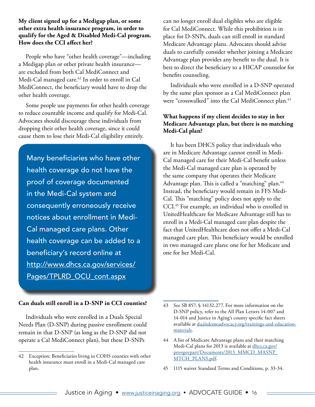#### **My client signed up for a Medigap plan, or some other extra health insurance program, in order to qualify for the Aged & Disabled Medi-Cal program. How does the CCI affect her?**

People who have "other health coverage"—including a Medigap plan or other private health insurance are excluded from both Cal MediConnect and Medi-Cal managed care.<sup>42</sup> In order to enroll in Cal MediConnect, the beneficiary would have to drop the other health coverage.

Some people use payments for other health coverage to reduce countable income and qualify for Medi-Cal. Advocates should discourage these individuals from dropping their other health coverage, since it could cause them to lose their Medi-Cal eligibility entirely.

Many beneficiaries who have other health coverage do not have the proof of coverage documented in the Medi-Cal system and consequently erroneously receive notices about enrollment in Medi-Cal managed care plans. Other health coverage can be added to a beneficiary's record online at [http://www.dhcs.ca.gov/services/](http://www.dhcs.ca.gov/services/Pages/TPLRD_OCU_cont.aspx) [Pages/TPLRD\\_OCU\\_cont.aspx](http://www.dhcs.ca.gov/services/Pages/TPLRD_OCU_cont.aspx)

can no longer enroll dual eligibles who are eligible for Cal MediConnect. While this prohibition is in place for D-SNPs, duals can still enroll in standard Medicare Advantage plans. Advocates should advise duals to carefully consider whether joining a Medicare Advantage plan provides any benefit to the dual. It is best to direct the beneficiary to a HICAP counselor for benefits counseling.

Individuals who were enrolled in a D-SNP operated by the same plan sponsor as a Cal MediConnect plan were "crosswalked" into the Cal MediConnect plan.<sup>43</sup>

#### **What happens if my client decides to stay in her Medicare Advantage plan, but there is no matching Medi-Cal plan?**

It has been DHCS policy that individuals who are in Medicare Advantage cannot enroll in Medi-Cal managed care for their Medi-Cal benefit unless the Medi-Cal managed care plan is operated by the same company that operates their Medicare Advantage plan. This is called a "matching" plan.<sup>44</sup> Instead, the beneficiary would remain in FFS Medi-Cal. This "matching" policy does not apply to the CCI.45 For example, an individual who is enrolled in UnitedHealthcare for Medicare Advantage still has to enroll in a Medi-Cal managed care plan despite the fact that UnitedHealthcare does not offer a Medi-Cal managed care plan. This beneficiary would be enrolled in two managed care plans: one for her Medicare and one for her Medi-Cal.

#### **Can duals still enroll in a D-SNP in CCI counties?**

Individuals who were enrolled in a Duals Special Needs Plan (D-SNP) during passive enrollment could remain in that D-SNP (as long as the D-SNP did not operate a Cal MediConnect plan), but these D-SNPs

<sup>42</sup> Exception: Beneficiaries living in COHS counties with other health insurance must enroll in a Medi-Cal managed care plan.

<sup>43</sup> See SB 857; § 14132.277. For more information on the D-SNP policy, refer to the All Plan Letters 14-007 and 14-014 and Justice in Aging's county specific fact sheets available at [dualsdemoadvocacy.org/trainings-and-education](http://dualsdemoadvocacy.org/
trainings-and-education-materials)[materials.](http://dualsdemoadvocacy.org/
trainings-and-education-materials)

<sup>44</sup> A list of Medicare Advantage plans and their matching Medi-Cal plans for 2013 is available at [dhcs.ca.gov/](http://www.dhcs.ca.gov/provgovpart/Documents/2013_MMCD_MASNP_MTCH_PLANS.pdf) [provgovpart/Documents/2013\\_MMCD\\_MASNP\\_](http://www.dhcs.ca.gov/provgovpart/Documents/2013_MMCD_MASNP_MTCH_PLANS.pdf) [MTCH\\_PLANS.pdf](http://www.dhcs.ca.gov/provgovpart/Documents/2013_MMCD_MASNP_MTCH_PLANS.pdf).

<sup>45</sup> 1115 waiver Standard Terms and Conditions, p. 33-34.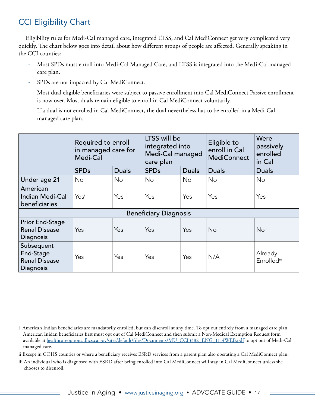## <span id="page-16-0"></span>CCI Eligibility Chart

Eligibility rules for Medi-Cal managed care, integrated LTSS, and Cal MediConnect get very complicated very quickly. The chart below goes into detail about how different groups of people are affected. Generally speaking in the CCI counties:

- ‐ Most SPDs must enroll into Medi-Cal Managed Care, and LTSS is integrated into the Medi-Cal managed care plan.
- SPDs are not impacted by Cal MediConnect.
- ‐ Most dual eligible beneficiaries were subject to passive enrollment into Cal MediConnect Passive enrollment is now over. Most duals remain eligible to enroll in Cal MediConnect voluntarily.
- ‐ If a dual is not enrolled in Cal MediConnect, the dual nevertheless has to be enrolled in a Medi-Cal managed care plan.

|                                                              | Required to enroll<br>in managed care for<br>Medi-Cal |                | LTSS will be<br>integrated into<br>Medi-Cal managed<br>care plan |              | Eligible to<br>enroll in Cal<br><b>MediConnect</b> | Were<br>passively<br>enrolled<br>in Cal |
|--------------------------------------------------------------|-------------------------------------------------------|----------------|------------------------------------------------------------------|--------------|----------------------------------------------------|-----------------------------------------|
|                                                              | <b>SPDs</b>                                           | <b>Duals</b>   | <b>SPDs</b>                                                      | <b>Duals</b> | <b>Duals</b>                                       | <b>Duals</b>                            |
| Under age 21                                                 | <b>No</b>                                             | N <sub>o</sub> | No.                                                              | <b>No</b>    | No                                                 | No.                                     |
| American<br><b>Indian Medi-Cal</b><br>beneficiaries          | Yesi                                                  | Yes            | Yes                                                              | Yes          | Yes                                                | Yes                                     |
|                                                              | <b>Beneficiary Diagnosis</b>                          |                |                                                                  |              |                                                    |                                         |
| Prior End-Stage<br><b>Renal Disease</b><br>Diagnosis         | Yes                                                   | Yes            | Yes                                                              | Yes          | No <sup>ii</sup>                                   | No <sup>ii</sup>                        |
| Subsequent<br>End-Stage<br><b>Renal Disease</b><br>Diagnosis | Yes                                                   | Yes            | Yes                                                              | Yes          | N/A                                                | Already<br><b>Enrollediii</b>           |

- ii Except in COHS counties or where a beneficiary receives ESRD services from a parent plan also operating a Cal MediConnect plan.
- iii An individual who is diagnosed with ESRD after being enrolled into Cal MediConnect will stay in Cal MediConnect unless she chooses to disenroll.

i American Indian beneficiaries are mandatorily enrolled, but can disenroll at any time. To opt out entirely from a managed care plan, American Inidan beneficiaries first must opt out of Cal MediConnect and then submit a Non-Medical Exemption Request form available at [healthcareoptions.dhcs.ca.gov/sites/default/files/Documents/MU\\_CCI3382\\_ENG\\_1114WEB.pdf](https://www.healthcareoptions.dhcs.ca.gov/sites/default/files/Documents/MU_CCI3382_ENG_1114WEB.pdf) to opt out of Medi-Cal managed care.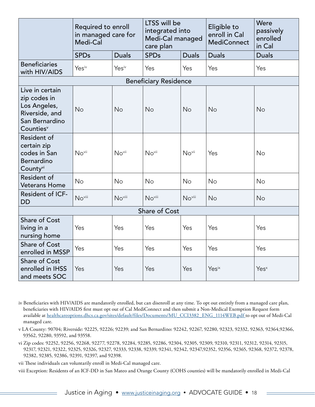|                                                                                                              | Required to enroll<br>in managed care for<br>Medi-Cal |              | LTSS will be<br>integrated into<br>Medi-Cal managed<br>care plan |              | Eligible to<br>enroll in Cal<br><b>MediConnect</b> | Were<br>passively<br>enrolled<br>in Cal |
|--------------------------------------------------------------------------------------------------------------|-------------------------------------------------------|--------------|------------------------------------------------------------------|--------------|----------------------------------------------------|-----------------------------------------|
|                                                                                                              | <b>SPDs</b>                                           | <b>Duals</b> | <b>SPDs</b>                                                      | <b>Duals</b> | <b>Duals</b>                                       | <b>Duals</b>                            |
| <b>Beneficiaries</b><br>with HIV/AIDS                                                                        | Yesiv                                                 | Yesiv        | Yes                                                              | Yes          | Yes                                                | Yes                                     |
|                                                                                                              |                                                       |              | <b>Beneficiary Residence</b>                                     |              |                                                    |                                         |
| Live in certain<br>zip codes in<br>Los Angeles,<br>Riverside, and<br>San Bernardino<br>Counties <sup>v</sup> | No                                                    | No           | No                                                               | No           | No                                                 | No                                      |
| Resident of<br>certain zip<br>codes in San<br>Bernardino<br>County <sup>vi</sup>                             | Novii                                                 | Novii        | Novii                                                            | Novii        | Yes                                                | No                                      |
| Resident of<br><b>Veterans Home</b>                                                                          | No                                                    | <b>No</b>    | <b>No</b>                                                        | <b>No</b>    | No                                                 | <b>No</b>                               |
| Resident of ICF-<br><b>DD</b>                                                                                | No <sup>viii</sup>                                    | Noviii       | Noviii                                                           | Noviii       | <b>No</b>                                          | <b>No</b>                               |
|                                                                                                              |                                                       |              | Share of Cost                                                    |              |                                                    |                                         |
| <b>Share of Cost</b><br>living in a<br>nursing home                                                          | Yes                                                   | Yes          | Yes                                                              | Yes          | Yes                                                | Yes                                     |
| <b>Share of Cost</b><br>enrolled in MSSP                                                                     | Yes                                                   | Yes          | Yes                                                              | Yes          | Yes                                                | Yes                                     |
| <b>Share of Cost</b><br>enrolled in IHSS<br>and meets SOC                                                    | Yes                                                   | Yes          | Yes                                                              | Yes          | <b>Yes</b> ix                                      | Yes <sup>x</sup>                        |

iv Beneficiaries with HIV/AIDS are mandatorily enrolled, but can disenroll at any time. To opt out entirely from a managed care plan, beneficiaries with HIV/AIDS first must opt out of Cal MediConnect and then submit a Non-Medical Exemption Request form available at [healthcareoptions.dhcs.ca.gov/sites/default/files/Documents/MU\\_CCI3382\\_ENG\\_1114WEB.pdf](https://www.healthcareoptions.dhcs.ca.gov/sites/default/files/Documents/MU_CCI3382_ENG_1114WEB.pdf) to opt out of Medi-Cal managed care.

v LA County: 90704; Riverside: 92225, 92226; 92239; and San Bernardino: 92242, 92267, 92280, 92323, 92332, 92363, 92364,92366, 93562, 92280, 93592, and 93558.

vi Zip codes: 92252, 92256, 92268, 92277, 92278, 92284, 92285, 92286, 92304, 92305, 92309, 92310, 92311, 92312, 92314, 92315, 92317, 92321, 92322, 92325, 92326, 92327, 92333, 92338, 92339, 92341, 92342, 92347,92352, 92356, 92365, 92368, 92372, 92378, 92382, 92385, 92386, 92391, 92397, and 92398.

vii These individuals can voluntarily enroll in Medi-Cal managed care.

viii Exception: Residents of an ICF-DD in San Mateo and Orange County (COHS counties) will be mandatorily enrolled in Medi-Cal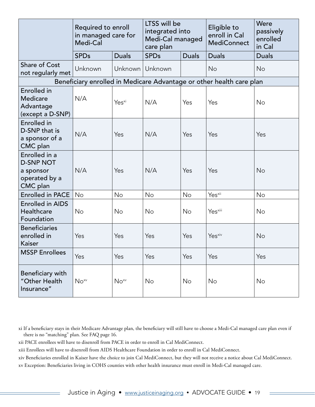|                                                                             | Required to enroll<br>in managed care for<br>Medi-Cal |                   | LTSS will be<br>integrated into<br>Medi-Cal managed<br>care plan |              | Eligible to<br>enroll in Cal<br><b>MediConnect</b>                   | Were<br>passively<br>enrolled<br>in Cal |
|-----------------------------------------------------------------------------|-------------------------------------------------------|-------------------|------------------------------------------------------------------|--------------|----------------------------------------------------------------------|-----------------------------------------|
|                                                                             | <b>SPDs</b>                                           | <b>Duals</b>      | <b>SPDs</b>                                                      | <b>Duals</b> | <b>Duals</b>                                                         | <b>Duals</b>                            |
| <b>Share of Cost</b><br>not regularly met                                   | Unknown                                               | Unknown           | Unknown                                                          |              | <b>No</b>                                                            | <b>No</b>                               |
|                                                                             |                                                       |                   |                                                                  |              | Beneficiary enrolled in Medicare Advantage or other health care plan |                                         |
| <b>Enrolled</b> in<br><b>Medicare</b><br>Advantage<br>(except a D-SNP)      | N/A                                                   | Yes <sup>xi</sup> | N/A                                                              | Yes          | Yes                                                                  | <b>No</b>                               |
| Enrolled in<br>D-SNP that is<br>a sponsor of a<br>CMC plan                  | N/A                                                   | Yes               | N/A                                                              | Yes          | Yes                                                                  | Yes                                     |
| Enrolled in a<br><b>D-SNP NOT</b><br>a sponsor<br>operated by a<br>CMC plan | N/A                                                   | Yes               | N/A                                                              | Yes          | Yes                                                                  | <b>No</b>                               |
| <b>Enrolled in PACE</b>                                                     | No                                                    | <b>No</b>         | <b>No</b>                                                        | No           | Yes <sup>xii</sup>                                                   | No                                      |
| <b>Enrolled in AIDS</b><br>Healthcare<br>Foundation                         | <b>No</b>                                             | <b>No</b>         | <b>No</b>                                                        | <b>No</b>    | Yes <sup>xiii</sup>                                                  | No                                      |
| <b>Beneficiaries</b><br>enrolled in<br>Kaiser                               | Yes                                                   | Yes               | Yes                                                              | Yes          | Yes <sup>xiv</sup>                                                   | No                                      |
| <b>MSSP Enrollees</b>                                                       | Yes                                                   | Yes               | Yes                                                              | Yes          | Yes                                                                  | Yes                                     |
| Beneficiary with<br>"Other Health<br>Insurance"                             | $No^{xy}$                                             | $No^{xy}$         | No                                                               | No           | No                                                                   | No                                      |

xi If a beneficiary stays in their Medicare Advantage plan, the beneficiary will still have to choose a Medi-Cal managed care plan even if there is no "matching" plan. See FAQ page 16.

xii PACE enrollees will have to disenroll from PACE in order to enroll in Cal MediConnect.

xiii Enrollees will have to disenroll from AIDS Healthcare Foundation in order to enroll in Cal MediConnect.

xiv Beneficiaries enrolled in Kaiser have the choice to join Cal MediConnect, but they will not receive a notice about Cal MediConnect. xv Exception: Beneficiaries living in COHS counties with other health insurance must enroll in Medi-Cal managed care.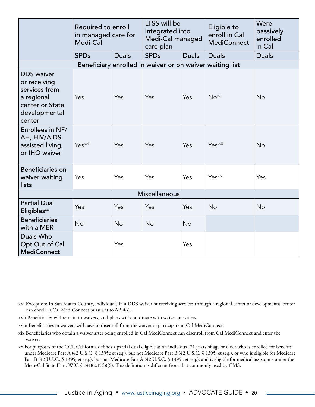|                                                                                                                | Required to enroll<br>in managed care for<br>Medi-Cal |              | LTSS will be<br>integrated into<br>Medi-Cal managed<br>care plan |              | Eligible to<br>enroll in Cal<br><b>MediConnect</b> | Were<br>passively<br>enrolled<br>in Cal |
|----------------------------------------------------------------------------------------------------------------|-------------------------------------------------------|--------------|------------------------------------------------------------------|--------------|----------------------------------------------------|-----------------------------------------|
|                                                                                                                | <b>SPDs</b>                                           | <b>Duals</b> | <b>SPDs</b>                                                      | <b>Duals</b> | <b>Duals</b>                                       | <b>Duals</b>                            |
|                                                                                                                |                                                       |              | Beneficiary enrolled in waiver or on waiver waiting list         |              |                                                    |                                         |
| <b>DDS</b> waiver<br>or receiving<br>services from<br>a regional<br>center or State<br>developmental<br>center | Yes                                                   | Yes          | Yes                                                              | Yes          | $No^{xvi}$                                         | <b>No</b>                               |
| Enrollees in NF/<br>AH, HIV/AIDS,<br>assisted living,<br>or IHO waiver                                         | Yes <sup>xvii</sup>                                   | Yes          | Yes                                                              | Yes          | Yes <sup>xviii</sup>                               | No                                      |
| Beneficiaries on<br>waiver waiting<br>lists                                                                    | Yes                                                   | Yes          | Yes                                                              | Yes          | Yes <sup>xix</sup>                                 | Yes                                     |
|                                                                                                                |                                                       |              | <b>Miscellaneous</b>                                             |              |                                                    |                                         |
| <b>Partial Dual</b><br>Eligibles <sup>xx</sup>                                                                 | Yes                                                   | Yes          | Yes                                                              | Yes          | No                                                 | <b>No</b>                               |
| <b>Beneficiaries</b><br>with a MER                                                                             | <b>No</b>                                             | <b>No</b>    | <b>No</b>                                                        | <b>No</b>    |                                                    |                                         |
| Duals Who<br>Opt Out of Cal<br><b>MediConnect</b>                                                              |                                                       | Yes          |                                                                  | Yes          |                                                    |                                         |

xvi Exception: In San Mateo County, individuals in a DDS waiver or receiving services through a regional center or developmental center can enroll in Cal MediConnect pursuant to AB 461.

- xvii Beneficiaries will remain in waivers, and plans will coordinate with waiver providers.
- xviii Beneficiaries in waivers will have to disenroll from the waiver to participate in Cal MediConnect.
- xix Beneficiaries who obtain a waiver after being enrolled in Cal MediConnect can disenroll from Cal MediConnect and enter the waiver.

xx For purposes of the CCI, California defines a partial dual eligible as an individual 21 years of age or older who is enrolled for benefits under Medicare Part A (42 U.S.C. § 1395c et seq.), but not Medicare Part B (42 U.S.C. § 1395j et seq.), or who is eligible for Medicare Part B (42 U.S.C. § 1395j et seq.), but not Medicare Part A (42 U.S.C. § 1395c et seq.), and is eligible for medical assistance under the Medi-Cal State Plan. WIC § 14182.15(b)(6). This definition is different from that commonly used by CMS.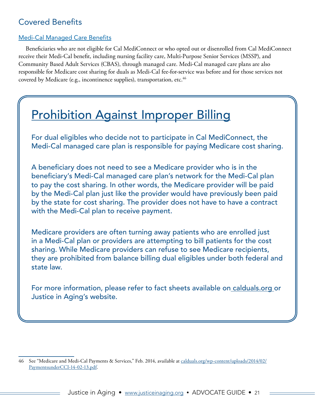## <span id="page-20-0"></span>Covered Benefits

#### Medi-Cal Managed Care Benefits

Beneficiaries who are not eligible for Cal MediConnect or who opted out or disenrolled from Cal MediConnect receive their Medi-Cal benefit, including nursing facility care, Multi-Purpose Senior Services (MSSP), and Community Based Adult Services (CBAS), through managed care. Medi-Cal managed care plans are also responsible for Medicare cost sharing for duals as Medi-Cal fee-for-service was before and for those services not covered by Medicare (e.g., incontinence supplies), transportation, etc.<sup>46</sup>

## Prohibition Against Improper Billing

For dual eligibles who decide not to participate in Cal MediConnect, the Medi-Cal managed care plan is responsible for paying Medicare cost sharing.

A beneficiary does not need to see a Medicare provider who is in the beneficiary's Medi-Cal managed care plan's network for the Medi-Cal plan to pay the cost sharing. In other words, the Medicare provider will be paid by the Medi-Cal plan just like the provider would have previously been paid by the state for cost sharing. The provider does not have to have a contract with the Medi-Cal plan to receive payment.

Medicare providers are often turning away patients who are enrolled just in a Medi-Cal plan or providers are attempting to bill patients for the cost sharing. While Medicare providers can refuse to see Medicare recipients, they are prohibited from balance billing dual eligibles under both federal and state law.

For more information, please refer to fact sheets available on [calduals.org](http://www.calduals.org/physician-toolkit/) or Justice in Aging's website.

<sup>46</sup> See "Medicare and Medi-Cal Payments & Services," Feb. 2014, available at [calduals.org/wp-content/uploads/2014/02/](http://www.calduals.org/wp-content/uploads/2014/02/PaymentsunderCCI-14-02-13.pdf) [PaymentsunderCCI-14-02-13.pdf](http://www.calduals.org/wp-content/uploads/2014/02/PaymentsunderCCI-14-02-13.pdf).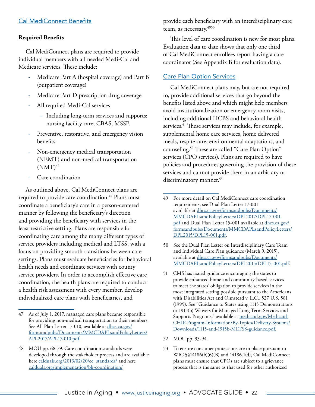#### <span id="page-21-0"></span>Cal MediConnect Benefits

#### **Required Benefits**

Cal MediConnect plans are required to provide individual members with all needed Medi-Cal and Medicare services. These include:

- Medicare Part A (hospital coverage) and Part B (outpatient coverage)
- Medicare Part D prescription drug coverage
- All required Medi-Cal services
	- ‐ Including long-term services and supports: nursing facility care; CBAS, MSSP.
- Preventive, restorative, and emergency vision benefits
- ‐ Non-emergency medical transportation (NEMT) and non-medical transportation  $(NMT)^{47}$
- Care coordination

As outlined above, Cal MediConnect plans are required to provide care coordination.<sup>48</sup> Plans must coordinate a beneficiary's care in a person-centered manner by following the beneficiary's direction and providing the beneficiary with services in the least restrictive setting. Plans are responsible for coordinating care among the many different types of service providers including medical and LTSS, with a focus on providing smooth transitions between care settings. Plans must evaluate beneficiaries for behavioral health needs and coordinate services with county service providers. In order to accomplish effective care coordination, the health plans are required to conduct a health risk assessment with every member, develop individualized care plans with beneficiaries, and

provide each beneficiary with an interdisciplinary care team, as necessary.<sup>4950</sup>

This level of care coordination is new for most plans. Evaluation data to date shows that only one third of Cal MediConnect enrollees report having a care coordinator (See Appendix B for evaluation data).

#### Care Plan Option Services

Cal MediConnect plans may, but are not required to, provide additional services that go beyond the benefits listed above and which might help members avoid institutionalization or emergency room visits, including additional HCBS and behavioral health services.<sup>51</sup> These services may include, for example, supplemental home care services, home delivered meals, respite care, environmental adaptations, and counseling.52 These are called "Care Plan Option" services (CPO services). Plans are required to have policies and procedures governing the provision of these services and cannot provide them in an arbitrary or discriminatory manner.<sup>53</sup>

- 50 See the Dual Plan Letter on Interdisciplinary Care Team and Individual Care Plan guidance (March 9, 2015), available at [dhcs.ca.gov/formsandpubs/Documents/](http://www.dhcs.ca.gov/formsandpubs/Documents/MMCDAPLsandPolicyLetters/DPL2015/DPL15-001.pdf) [MMCDAPLsandPolicyLetters/DPL2015/DPL15-001.pdf.](http://www.dhcs.ca.gov/formsandpubs/Documents/MMCDAPLsandPolicyLetters/DPL2015/DPL15-001.pdf)
- 51 CMS has issued guidance encouraging the states to provide enhanced home and community-based services to meet the states' obligation to provide services in the most integrated setting possible pursuant to the Americans with Disabilities Act and Olmstead v. L.C., 527 U.S. 581 (1999). See "Guidance to States using 1115 Demonstrations or 1915(b) Waivers for Managed Long Term Services and Supports Programs," available at [medicaid.gov/Medicaid-](http://www.medicaid.gov/Medicaid-CHIP-Program-Information/By-Topics/Delivery-Systems/Downloads/1115-and-1915b-MLTSS-guidance.pdf)[CHIP-Program-Information/By-Topics/Delivery-Systems/](http://www.medicaid.gov/Medicaid-CHIP-Program-Information/By-Topics/Delivery-Systems/Downloads/1115-and-1915b-MLTSS-guidance.pdf) [Downloads/1115-and-1915b-MLTSS-guidance.pdf.](http://www.medicaid.gov/Medicaid-CHIP-Program-Information/By-Topics/Delivery-Systems/Downloads/1115-and-1915b-MLTSS-guidance.pdf)
- 52 MOU pp. 93-94.
- 53 To ensure consumer protections are in place pursuant to WIC §§14186(b)(6)(B) and 14186.1(d), Cal MediConnect plans must ensure that CPOs are subject to a grievance process that is the same as that used for other authorized

<sup>47</sup> As of July 1, 2017, managed care plans became responsible for providing non-medical transportation to their members. See All Plan Letter 17-010, available at [dhcs.ca.gov/](http://www.dhcs.ca.gov/formsandpubs/Documents/MMCDAPLsandPolicyLetters/APL2017/APL17-010.pdf) [formsandpubs/Documents/MMCDAPLsandPolicyLetters/](http://www.dhcs.ca.gov/formsandpubs/Documents/MMCDAPLsandPolicyLetters/APL2017/APL17-010.pdf) [APL2017/APL17-010.pdf](http://www.dhcs.ca.gov/formsandpubs/Documents/MMCDAPLsandPolicyLetters/APL2017/APL17-010.pdf)

<sup>48</sup> MOU pp. 68-79. Care coordination standards were developed through the stakeholder process and are available here [calduals.org/2013/02/20/cc\\_standards/](http://www.calduals.org/2013/02/20/cc_standards/) and here [calduals.org/implementation/bh-coordination/.](http://www.calduals.org/implementation/policy-topics/bh-coordination/)

<sup>49</sup> For more detail on Cal MediConnect care coordination requirements, see Dual Plan Letter 17-001 available at [dhcs.ca.gov/formsandpubs/Documents/](http://www.dhcs.ca.gov/formsandpubs/Documents/MMCDAPLsandPolicyLetters/DPL2017/DPL17-001.pdf) [MMCDAPLsandPolicyLetters/DPL2017/DPL17-001.](http://www.dhcs.ca.gov/formsandpubs/Documents/MMCDAPLsandPolicyLetters/DPL2017/DPL17-001.pdf) [pdf](http://www.dhcs.ca.gov/formsandpubs/Documents/MMCDAPLsandPolicyLetters/DPL2017/DPL17-001.pdf) and Dual Plan Letter 15-001 available at [dhcs.ca.gov/](http://www.dhcs.ca.gov/formsandpubs/Documents/MMCDAPLsandPolicyLetters/DPL2017/DPL17-001.pdf) [formsandpubs/Documents/MMCDAPLsandPolicyLetters/](http://www.dhcs.ca.gov/formsandpubs/Documents/MMCDAPLsandPolicyLetters/DPL2017/DPL17-001.pdf) [DPL2015/DPL15-001.pdf.](http://www.dhcs.ca.gov/formsandpubs/Documents/MMCDAPLsandPolicyLetters/DPL2017/DPL17-001.pdf)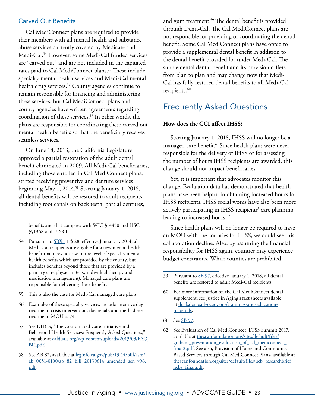#### <span id="page-22-0"></span>Carved Out Benefits

Cal MediConnect plans are required to provide their members with all mental health and substance abuse services currently covered by Medicare and Medi-Cal.54 However, some Medi-Cal funded services are "carved out" and are not included in the capitated rates paid to Cal MediConnect plans.<sup>55</sup> These include specialty mental health services and Medi-Cal mental health drug services.<sup>56</sup> County agencies continue to remain responsible for financing and administering these services, but Cal MediConnect plans and county agencies have written agreements regarding coordination of these services.57 In other words, the plans are responsible for coordinating these carved out mental health benefits so that the beneficiary receives seamless services.

On June 18, 2013, the California Legislature approved a partial restoration of the adult dental benefit eliminated in 2009. All Medi-Cal beneficiaries, including those enrolled in Cal MediConnect plans, started receiving preventive and denture services beginning May 1, 2014.58 Starting January 1, 2018, all dental benefits will be restored to adult recipients, including root canals on back teeth, partial dentures,

benefits and that complies with WIC §14450 and HSC §§1368 and 1368.1.

- 54 Pursuant to [SBX1](http://www.leginfo.ca.gov/pub/13-14/bill/sen/sb_0001-0050/sbx1_1_bill_20130627_chaptered.pdf) 1 § 28, effective January 1, 2014, all Medi-Cal recipients are eligible for a new mental health benefit that does not rise to the level of specialty mental health benefits which are provided by the county, but includes benefits beyond those that are provided by a primary care physician (e.g., individual therapy and medication management). Managed care plans are responsible for delivering these benefits.
- 55 This is also the case for Medi-Cal managed care plans.
- 56 Examples of these specialty services include intensive day treatment, crisis intervention, day rehab, and methadone treatment. MOU p. 74.
- 57 See DHCS, "The Coordinated Care Initiative and Behavioral Health Services: Frequently Asked Questions," available at [calduals.org/wp-content/uploads/2013/03/FAQ-](http://www.calduals.org/wp-content/uploads/2013/03/FAQ-BH.pdf)[BH.pdf](http://www.calduals.org/wp-content/uploads/2013/03/FAQ-BH.pdf).
- 58 See AB 82, available at [leginfo.ca.gov/pub/13-14/bill/asm/](http://www.leginfo.ca.gov/pub/13-14/bill/asm/ab_0051-0100/ab_82_bill_20130614_amended_sen_v96.pdf) [ab\\_0051-0100/ab\\_82\\_bill\\_20130614\\_amended\\_sen\\_v96.](http://www.leginfo.ca.gov/pub/13-14/bill/asm/ab_0051-0100/ab_82_bill_20130614_amended_sen_v96.pdf) [pdf](http://www.leginfo.ca.gov/pub/13-14/bill/asm/ab_0051-0100/ab_82_bill_20130614_amended_sen_v96.pdf).

and gum treatment.59 The dental benefit is provided through Denti-Cal. The Cal MediConnect plans are not responsible for providing or coordinating the dental benefit. Some Cal MediConnect plans have opted to provide a supplemental dental benefit in addition to the dental benefit provided for under Medi-Cal. The supplemental dental benefit and its provision differs from plan to plan and may change now that Medi-Cal has fully restored dental benefits to all Medi-Cal recipients.<sup>60</sup>

### Frequently Asked Questions

#### **How does the CCI affect IHSS?**

Starting January 1, 2018, IHSS will no longer be a managed care benefit.<sup>61</sup> Since health plans were never responsible for the delivery of IHSS or for assessing the number of hours IHSS recipients are awarded, this change should not impact beneficiaries.

Yet, it is important that advocates monitor this change. Evaluation data has demonstrated that health plans have been helpful in obtaining increased hours for IHSS recipients. IHSS social works have also been more actively participating in IHSS recipients' care planning leading to increased hours.<sup>62</sup>

Since health plans will no longer be required to have an MOU with the counties for IHSS, we could see this collaboration decline. Also, by assuming the financial responsibility for IHSS again, counties may experience budget constraints. While counties are prohibited

61 See [SB 97.](http://leginfo.legislature.ca.gov/faces/billTextClient.xhtml?bill_id=201720180SB97)

<sup>59</sup> Pursuant to [SB 97,](http://leginfo.legislature.ca.gov/faces/billTextClient.xhtml?bill_id=201720180SB97) effective January 1, 2018, all dental benefits are restored to adult Medi-Cal recipients.

<sup>60</sup> For more information on the Cal MediConnect dental supplement, see Justice in Aging's fact sheets available at [dualsdemoadvocacy.org/trainings-and-education](http://dualsdemoadvocacy.org/trainings-and-education-materials)[materials.](http://dualsdemoadvocacy.org/trainings-and-education-materials)

<sup>62</sup> See Evaluation of Cal MediConnect, LTSS Summit 2017, available at [thescanfoundation.org/sites/default/files/](http://www.thescanfoundation.org/sites/default/files/graham_presentation_evaluation_of_cal_mediconnect_final2.pdf) [graham\\_presentation\\_evaluation\\_of\\_cal\\_mediconnect\\_](http://www.thescanfoundation.org/sites/default/files/graham_presentation_evaluation_of_cal_mediconnect_final2.pdf) [final2.pdf](http://www.thescanfoundation.org/sites/default/files/graham_presentation_evaluation_of_cal_mediconnect_final2.pdf). See also, Provision of Home and Community Based Services through Cal MediConnect Plans, available at [thescanfoundation.org/sites/default/files/ucb\\_researchbrief\\_](http://www.thescanfoundation.org/sites/default/files/graham_presentation_evaluation_of_cal_mediconnect_final2.pdf) [hcbs\\_final.pdf](http://www.thescanfoundation.org/sites/default/files/graham_presentation_evaluation_of_cal_mediconnect_final2.pdf).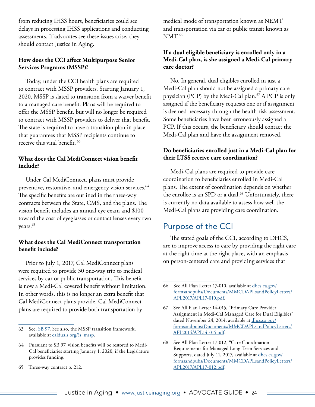<span id="page-23-0"></span>from reducing IHSS hours, beneficiaries could see delays in processing IHSS applications and conducting assessments. If advocates see these issues arise, they should contact Justice in Aging.

#### **How does the CCI affect Multipurpose Senior Services Programs (MSSP)?**

Today, under the CCI health plans are required to contract with MSSP providers. Starting January 1, 2020, MSSP is slated to transition from a waiver benefit to a managed care benefit. Plans will be required to offer the MSSP benefit, but will no longer be required to contract with MSSP providers to deliver that benefit. The state is required to have a transition plan in place that guarantees that MSSP recipients continue to receive this vital benefit. <sup>63</sup>

#### **What does the Cal MediConnect vision benefit include?**

Under Cal MediConnect, plans must provide preventive, restorative, and emergency vision services.<sup>64</sup> The specific benefits are outlined in the three-way contracts between the State, CMS, and the plans. The vision benefit includes an annual eye exam and \$100 toward the cost of eyeglasses or contact lenses every two years.<sup>65</sup>

#### **What does the Cal MediConnect transportation benefit include?**

Prior to July 1, 2017, Cal MediConnect plans were required to provide 30 one-way trip to medical services by car or public transportation. This benefit is now a Medi-Cal covered benefit without limitation. In other words, this is no longer an extra benefit that Cal MediConnect plans provide. Cal MediConnect plans are required to provide both transportation by

65 Three-way contract p. 212.

medical mode of transportation known as NEMT and transportation via car or public transit known as NMT.<sup>66</sup>

#### **If a dual eligible beneficiary is enrolled only in a Medi-Cal plan, is she assigned a Medi-Cal primary care doctor?**

No. In general, dual eligibles enrolled in just a Medi-Cal plan should not be assigned a primary care physician (PCP) by the Medi-Cal plan.<sup>67</sup> A PCP is only assigned if the beneficiary requests one or if assignment is deemed necessary through the health risk assessment. Some beneficiaries have been erroneously assigned a PCP. If this occurs, the beneficiary should contact the Medi-Cal plan and have the assignment removed.

#### **Do beneficiaries enrolled just in a Medi-Cal plan for their LTSS receive care coordination?**

Medi-Cal plans are required to provide care coordination to beneficiaries enrolled in Medi-Cal plans. The extent of coordination depends on whether the enrollee is an SPD or a dual.<sup>68</sup> Unfortunately, there is currently no data available to assess how well the Medi-Cal plans are providing care coordination.

## Purpose of the CCI

The stated goals of the CCI, according to DHCS, are to improve access to care by providing the right care at the right time at the right place, with an emphasis on person-centered care and providing services that

<sup>63</sup> See, [SB 97](http://leginfo.legislature.ca.gov/faces/billTextClient.xhtml?bill_id=201720180SB97). See also, the MSSP transition framework, available at [calduals.org/?s=mssp](http://calduals.org/?s=mssp).

<sup>64</sup> Pursuant to SB 97, vision benefits will be restored to Medi-Cal beneficiaries starting January 1, 2020, if the Legislature provides funding.

<sup>66</sup> See All Plan Letter 17-010, available at [dhcs.ca.gov/](http://www.dhcs.ca.gov/formsandpubs/Documents/MMCDAPLsandPolicyLetters/APL2017/APL17-010.pdf) [formsandpubs/Documents/MMCDAPLsandPolicyLetters/](http://www.dhcs.ca.gov/formsandpubs/Documents/MMCDAPLsandPolicyLetters/APL2017/APL17-010.pdf) [APL2017/APL17-010.pdf.](http://www.dhcs.ca.gov/formsandpubs/Documents/MMCDAPLsandPolicyLetters/APL2017/APL17-010.pdf)

<sup>67</sup> See All Plan Letter 14-015, "Primary Care Provider Assignment in Medi-Cal Managed Care for Dual Eligibles" dated November 24, 2014, available at [dhcs.ca.gov/](http://www.dhcs.ca.gov/formsandpubs/Documents/MMCDAPLsandPolicyLetters/APL2014/APL14-015.pdf) [formsandpubs/Documents/MMCDAPLsandPolicyLetters/](http://www.dhcs.ca.gov/formsandpubs/Documents/MMCDAPLsandPolicyLetters/APL2014/APL14-015.pdf) [APL2014/APL14-015.pdf](http://www.dhcs.ca.gov/formsandpubs/Documents/MMCDAPLsandPolicyLetters/APL2014/APL14-015.pdf).

<sup>68</sup> See All Plan Letter 17-012, "Care Coordination Requirements for Managed Long-Term Services and Supports, dated July 11, 2017, available at [dhcs.ca.gov/](See All Plan Letter 17-012, "Care Coordination Requirements for Managed Long-Term Services and Supports, dated July 11, 2017, available at http://www.dhcs.ca.gov/formsandpubs/Documents/MMCDAPLsandPolicyLetters/APL2017/APL17-012.pdf) [formsandpubs/Documents/MMCDAPLsandPolicyLetters/](See All Plan Letter 17-012, "Care Coordination Requirements for Managed Long-Term Services and Supports, dated July 11, 2017, available at http://www.dhcs.ca.gov/formsandpubs/Documents/MMCDAPLsandPolicyLetters/APL2017/APL17-012.pdf) [APL2017/APL17-012.pdf](See All Plan Letter 17-012, "Care Coordination Requirements for Managed Long-Term Services and Supports, dated July 11, 2017, available at http://www.dhcs.ca.gov/formsandpubs/Documents/MMCDAPLsandPolicyLetters/APL2017/APL17-012.pdf).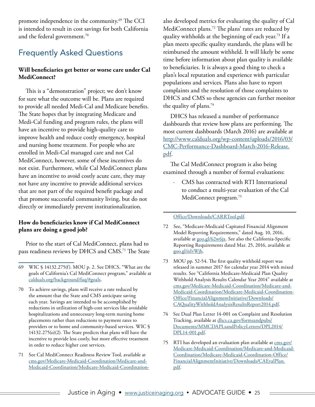<span id="page-24-0"></span>promote independence in the community.<sup>69</sup> The CCI is intended to result in cost savings for both California and the federal government.<sup>70</sup>

## Frequently Asked Questions

#### **Will beneficiaries get better or worse care under Cal MediConnect?**

This is a "demonstration" project; we don't know for sure what the outcome will be. Plans are required to provide all needed Medi-Cal and Medicare benefits. The State hopes that by integrating Medicare and Medi-Cal funding and program rules, the plans will have an incentive to provide high-quality care to improve health and reduce costly emergency, hospital and nursing home treatment. For people who are enrolled in Medi-Cal managed care and not Cal MediConnect, however, some of these incentives do not exist. Furthermore, while Cal MediConnect plans have an incentive to avoid costly acute care, they may not have any incentive to provide additional services that are not part of the required benefit package and that promote successful community living, but do not directly or immediately prevent institutionalization.

#### **How do beneficiaries know if Cal MediConnect plans are doing a good job?**

Prior to the start of Cal MediConnect, plans had to pass readiness reviews by DHCS and CMS.71 The State

- 70 To achieve savings, plans will receive a rate reduced by the amount that the State and CMS anticipate saving each year. Savings are intended to be accomplished by reductions in utilization of high-cost services like avoidable hospitalizations and unnecessary long-term nursing home placements rather than reductions to payment rates to providers or to home and community-based services. WIC § 14132.275(o)(2). The State predicts that plans will have the incentive to provide less costly, but more effective treatment in order to reduce higher cost services.
- 71 See Cal MediConnect Readiness Review Tool, available at [cms.gov/Medicare-Medicaid-Coordination/Medicare-and-](https://www.cms.gov/Medicare-Medicaid-Coordination/Medicare-and-Medicaid-Coordination/Medicare-Medicaid-Coordination-Office/Downloads/CARRTool.pdf)[Medicaid-Coordination/Medicare-Medicaid-Coordination-](https://www.cms.gov/Medicare-Medicaid-Coordination/Medicare-and-Medicaid-Coordination/Medicare-Medicaid-Coordination-Office/Downloads/CARRTool.pdf)

also developed metrics for evaluating the quality of Cal MediConnect plans.<sup>72</sup> The plans' rates are reduced by quality withholds at the beginning of each year.73 If a plan meets specific quality standards, the plans will be reimbursed the amount withheld. It will likely be some time before information about plan quality is available to beneficiaries. It is always a good thing to check a plan's local reputation and experience with particular populations and services. Plans also have to report complaints and the resolution of those complaints to DHCS and CMS so these agencies can further monitor the quality of plans.74

DHCS has released a number of performance dashboards that review how plans are performing. The most current dashboards (March 2016) are available at [http://www.calduals.org/wp-content/uploads/2016/03/](http://www.calduals.org/wp-content/uploads/2016/03/CMC-Performance-Dashboard-March-2016-Release.pdf) [CMC-Performance-Dashboard-March-2016-Release.](http://www.calduals.org/wp-content/uploads/2016/03/CMC-Performance-Dashboard-March-2016-Release.pdf) [pdf.](http://www.calduals.org/wp-content/uploads/2016/03/CMC-Performance-Dashboard-March-2016-Release.pdf)

The Cal MediConnect program is also being examined through a number of formal evaluations:

‐ CMS has contracted with RTI International to conduct a multi-year evaluation of the Cal MediConnect program.<sup>75</sup>

#### [Office/Downloads/CARRTool.pdf.](https://www.cms.gov/Medicare-Medicaid-Coordination/Medicare-and-Medicaid-Coordination/Medicare-Medicaid-Coordination-Office/Downloads/CARRTool.pdf)

- 72 See, "Medicare-Medicaid Capitated Financial Alignment Model Reporting Requirements," dated Aug. 10, 2016, available at [goo.gl/62w6jx.](https://www.cms.gov/Medicare-Medicaid-Coordination/Medicare-and-Medicaid-Coordination/Medicare-Medicaid-Coordination-Office/FinancialAlignmentInitiative/Downloads/FinalCY2016CoreReportingRequirements081016.pdf) See also the California-Specific Reporting Requirements dated Mar. 25, 2016, available at [goo.gl/nIvWjh.](https://goo.gl/nIvWjh)
- 73 MOU pp. 52-54. The first quality withhold report was released in summer 2017 for calendar year 2014 with mixed results. See "California Medicare-Medicaid Plan Quality Withhold Analysis Results Calendar Year 2014" available at [cms.gov/Medicare-Medicaid-Coordination/Medicare-and-](https://www.cms.gov/Medicare-Medicaid-Coordination/Medicare-and-Medicaid-Coordination/Medicare-Medicaid-Coordination-Office/FinancialAlignmentInitiative/Downloads/CAQualityWithholdAnalysisResultsReport2014.pdf)[Medicaid-Coordination/Medicare-Medicaid-Coordination-](https://www.cms.gov/Medicare-Medicaid-Coordination/Medicare-and-Medicaid-Coordination/Medicare-Medicaid-Coordination-Office/FinancialAlignmentInitiative/Downloads/CAQualityWithholdAnalysisResultsReport2014.pdf)[Office/FinancialAlignmentInitiative/Downloads/](https://www.cms.gov/Medicare-Medicaid-Coordination/Medicare-and-Medicaid-Coordination/Medicare-Medicaid-Coordination-Office/FinancialAlignmentInitiative/Downloads/CAQualityWithholdAnalysisResultsReport2014.pdf) [CAQualityWithholdAnalysisResultsReport2014.pdf](https://www.cms.gov/Medicare-Medicaid-Coordination/Medicare-and-Medicaid-Coordination/Medicare-Medicaid-Coordination-Office/FinancialAlignmentInitiative/Downloads/CAQualityWithholdAnalysisResultsReport2014.pdf).
- 74 See Dual Plan Letter 14-001 on Complaint and Resolution Tracking, available at [dhcs.ca.gov/formsandpubs/](http://www.dhcs.ca.gov/formsandpubs/Documents/MMCDAPLsandPolicyLetters/DPL2014/DPL14-001.pdf) [Documents/MMCDAPLsandPolicyLetters/DPL2014/](http://www.dhcs.ca.gov/formsandpubs/Documents/MMCDAPLsandPolicyLetters/DPL2014/DPL14-001.pdf) [DPL14-001.pdf](http://www.dhcs.ca.gov/formsandpubs/Documents/MMCDAPLsandPolicyLetters/DPL2014/DPL14-001.pdf).
- 75 RTI has developed an evaluation plan available at [cms.gov/](http://www.cms.gov/Medicare-Medicaid-Coordination/Medicare-and-Medicaid-Coordination/Medicare-Medicaid-Coordination-Office/FinancialAlignmentInitiative/Downloads/CAEvalPlan.pdf) [Medicare-Medicaid-Coordination/Medicare-and-Medicaid-](http://www.cms.gov/Medicare-Medicaid-Coordination/Medicare-and-Medicaid-Coordination/Medicare-Medicaid-Coordination-Office/FinancialAlignmentInitiative/Downloads/CAEvalPlan.pdf)[Coordination/Medicare-Medicaid-Coordination-Office/](http://www.cms.gov/Medicare-Medicaid-Coordination/Medicare-and-Medicaid-Coordination/Medicare-Medicaid-Coordination-Office/FinancialAlignmentInitiative/Downloads/CAEvalPlan.pdf) [FinancialAlignmentInitiative/Downloads/CAEvalPlan.](http://www.cms.gov/Medicare-Medicaid-Coordination/Medicare-and-Medicaid-Coordination/Medicare-Medicaid-Coordination-Office/FinancialAlignmentInitiative/Downloads/CAEvalPlan.pdf) [pdf](http://www.cms.gov/Medicare-Medicaid-Coordination/Medicare-and-Medicaid-Coordination/Medicare-Medicaid-Coordination-Office/FinancialAlignmentInitiative/Downloads/CAEvalPlan.pdf).

<sup>69</sup> WIC § 14132.275(f). MOU p. 2. See DHCS, "What are the goals of California's Cal MediConnect program," available at [calduals.org/background/faq/#goals.](http://www.calduals.org/background/faq/#goals)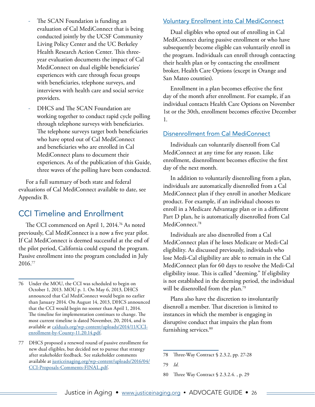- <span id="page-25-0"></span>The SCAN Foundation is funding an evaluation of Cal MediConnect that is being conducted jointly by the UCSF Community Living Policy Center and the UC Berkeley Health Research Action Center. This threeyear evaluation documents the impact of Cal MediConnect on dual eligible beneficiaries' experiences with care through focus groups with beneficiaries, telephone surveys, and interviews with health care and social service providers.
- ‐ DHCS and The SCAN Foundation are working together to conduct rapid cycle polling through telephone surveys with beneficiaries. The telephone surveys target both beneficiaries who have opted out of Cal MediConnect and beneficiaries who are enrolled in Cal MediConnect plans to document their experiences. As of the publication of this Guide, three waves of the polling have been conducted.

For a full summary of both state and federal evaluations of Cal MediConnect available to date, see Appendix B.

## CCI Timeline and Enrollment

The CCI commenced on April 1, 2014.76 As noted previously, Cal MediConnect is a now a five year pilot. If Cal MediConnect is deemed successful at the end of the pilot period, California could expand the program. Passive enrollment into the program concluded in July 2016.77

#### Voluntary Enrollment into Cal MediConnect

Dual eligibles who opted out of enrolling in Cal MediConnect during passive enrollment or who have subsequently become eligible can voluntarily enroll in the program. Individuals can enroll through contacting their health plan or by contacting the enrollment broker, Health Care Options (except in Orange and San Mateo counties).

Enrollment in a plan becomes effective the first day of the month after enrollment. For example, if an individual contacts Health Care Options on November 1st or the 30th, enrollment becomes effective December 1.

#### Disnenrollment from Cal MediConnect

Individuals can voluntarily disenroll from Cal MediConnect at any time for any reason. Like enrollment, disenrollment becomes effective the first day of the next month.

In addition to voluntarily disenrolling from a plan, individuals are automatically disenrolled from a Cal MediConnect plan if they enroll in another Medicare product. For example, if an individual chooses to enroll in a Medicare Advantage plan or in a different Part D plan, he is automatically disenrolled from Cal MediConnect.<sup>78</sup>

Individuals are also disenrolled from a Cal MediConnect plan if he loses Medicare or Medi-Cal eligibility. As discussed previously, individuals who lose Medi-Cal eligibility are able to remain in the Cal MediConnect plan for 60 days to resolve the Medi-Cal eligibility issue. This is called "deeming." If eligibility is not established in the deeming period, the individual will be disenrolled from the plan.<sup>79</sup>

Plans also have the discretion to involuntarily disenroll a member. That discretion is limited to instances in which the member is engaging in disruptive conduct that impairs the plan from furnishing services.<sup>80</sup>

<sup>76</sup> Under the MOU, the CCI was scheduled to begin on October 1, 2013. MOU p. 1. On May 6, 2013, DHCS announced that Cal MediConnect would begin no earlier than January 2014. On August 14, 2013, DHCS announced that the CCI would begin no sooner than April 1, 2014. The timeline for implementation continues to change. The most current timeline is dated November, 20, 2014, and is available at [calduals.org/wp-content/uploads/2014/11/CCI](http://www.calduals.org/wp-content/uploads/2014/11/CCI-enrollment-by-County-11.20.14.pdf)[enrollment-by-County-11.20.14.pdf](http://www.calduals.org/wp-content/uploads/2014/11/CCI-enrollment-by-County-11.20.14.pdf).

<sup>77</sup> DHCS proposed a renewed round of passive enrollment for new dual eligibles, but decided not to pursue that strategy after stakeholder feedback. See stakeholder comments available at [justiceinaging.org/wp-content/uploads/2016/04/](http://www.justiceinaging.org/wp-content/uploads/2016/04/CCI-Proposals-Comments-FINAL.pdf) [CCI-Proposals-Comments-FINAL.pdf](http://www.justiceinaging.org/wp-content/uploads/2016/04/CCI-Proposals-Comments-FINAL.pdf).

<sup>78</sup> Three-Way Contract § 2.3.2, pp. 27-28

<sup>79</sup> *Id.*

<sup>80</sup> Three Way Contract § 2.3.2.4., p. 29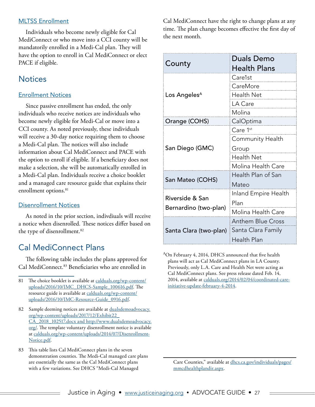#### <span id="page-26-0"></span>MLTSS Enrollment

Individuals who become newly eligible for Cal MediConnect or who move into a CCI county will be mandatorily enrolled in a Medi-Cal plan. They will have the option to enroll in Cal MediConnect or elect PACE if eligible.

### **Notices**

#### Enrollment Notices

Since passive enrollment has ended, the only individuals who receive notices are individuals who become newly eligible for Medi-Cal or move into a CCI county. As noted previously, these individuals will receive a 30-day notice requiring them to choose a Medi-Cal plan. The notices will also include information about Cal MediConnect and PACE with the option to enroll if eligible. If a beneficiary does not make a selection, she will be automatically enrolled in a Medi-Cal plan. Individuals receive a choice booklet and a managed care resource guide that explains their enrollment options.<sup>81</sup>

#### Disenrollment Notices

As noted in the prior section, indivdiuals will receive a notice when disenrolled. These notices differ based on the type of disenrollment.<sup>82</sup>

## Cal MediConnect Plans

The following table includes the plans approved for Cal MediConnect.<sup>83</sup> Beneficiaries who are enrolled in

Cal MediConnect have the right to change plans at any time. The plan change becomes effective the first day of the next month.

| County                   | <b>Duals Demo</b>        |  |  |
|--------------------------|--------------------------|--|--|
|                          | Health Plans             |  |  |
|                          | Care1st                  |  |  |
|                          | CareMore                 |  |  |
| Los Angeles <sup>A</sup> | Health Net               |  |  |
|                          | LA Care                  |  |  |
|                          | Molina                   |  |  |
| Orange (COHS)            | CalOptima                |  |  |
|                          | Care 1 <sup>st</sup>     |  |  |
|                          | Community Health         |  |  |
| San Diego (GMC)          | Group                    |  |  |
|                          | <b>Health Net</b>        |  |  |
|                          | Molina Health Care       |  |  |
|                          | Health Plan of San       |  |  |
| San Mateo (COHS)         | Mateo                    |  |  |
| Riverside & San          | Inland Empire Health     |  |  |
|                          | Plan                     |  |  |
| Bernardino (two-plan)    | Molina Health Care       |  |  |
|                          | <b>Anthem Blue Cross</b> |  |  |
| Santa Clara (two-plan)   | Santa Clara Family       |  |  |
|                          | Health Plan              |  |  |

<sup>A</sup>On February 4, 2014, DHCS announced that five health plans will act as Cal MediConnect plans in LA County. Previously, only L.A. Care and Health Net were acting as Cal MediConnect plans. See press release dated Feb. 14, 2014, available at [calduals.org/2014/02/04/coordinated-care](http://www.calduals.org/2014/02/04/coordinated-care-initiative-update-february-4-2014/)[initiative-update-february-4-2014](http://www.calduals.org/2014/02/04/coordinated-care-initiative-update-february-4-2014/).

<sup>81</sup> The choice booklet is available at [calduals.org/wp-content/](http://calduals.org/wp-content/uploads/2016/10/IMC_DHCS-Sample_100616.pdf) [uploads/2016/10/IMC\\_DHCS-Sample\\_100616.pdf.](http://calduals.org/wp-content/uploads/2016/10/IMC_DHCS-Sample_100616.pdf) The resource guide is available at [calduals.org/wp-content/](http://calduals.org/wp-content/uploads/2016/10/IMC-Resource-Guide_0916.pdf) [uploads/2016/10/IMC-Resource-Guide\\_0916.pdf](http://calduals.org/wp-content/uploads/2016/10/IMC-Resource-Guide_0916.pdf).

<sup>82</sup> Sample deeming notices are available at [dualsdemoadvocacy.](http://www.dualsdemoadvocacy.org/wp-content/uploads/2017/12/Exhibit22_CA_2018_102517.docx and http://www.dualsdemoadvocacy.org/) [org/wp-content/uploads/2017/12/Exhibit22\\_](http://www.dualsdemoadvocacy.org/wp-content/uploads/2017/12/Exhibit22_CA_2018_102517.docx and http://www.dualsdemoadvocacy.org/) [CA\\_2018\\_102517.docx and http://www.dualsdemoadvocacy.](http://www.dualsdemoadvocacy.org/wp-content/uploads/2017/12/Exhibit22_CA_2018_102517.docx and http://www.dualsdemoadvocacy.org/) [org/](http://www.dualsdemoadvocacy.org/wp-content/uploads/2017/12/Exhibit22_CA_2018_102517.docx and http://www.dualsdemoadvocacy.org/). The template voluntary disenrollment notice is available at [calduals.org/wp-content/uploads/2014/07/Disenrollment-](http://calduals.org/wp-content/uploads/2014/07/Disenrollment-Notice.pdf)[Notice.pdf](http://calduals.org/wp-content/uploads/2014/07/Disenrollment-Notice.pdf).

<sup>83</sup> This table lists Cal MediConnect plans in the seven demonstration counties. The Medi-Cal managed care plans are essentially the same as the Cal MediConnect plans with a few variations. See DHCS "Medi-Cal Managed

Care Counties," available at [dhcs.ca.gov/individuals/pages/](http://www.dhcs.ca.gov/individuals/pages/mmcdhealthplandir.aspx) [mmcdhealthplandir.aspx.](http://www.dhcs.ca.gov/individuals/pages/mmcdhealthplandir.aspx)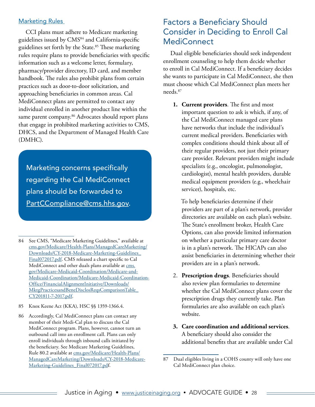#### <span id="page-27-0"></span>Marketing Rules

CCI plans must adhere to Medicare marketing guidelines issued by CMS<sup>84</sup> and California-specific guidelines set forth by the State.<sup>85</sup> These marketing rules require plans to provide beneficiaries with specific information such as a welcome letter, formulary, pharmacy/provider directory, ID card, and member handbook. The rules also prohibit plans from certain practices such as door-to-door solicitation, and approaching beneficiaries in common areas. Cal MediConnect plans are permitted to contact any individual enrolled in another product line within the same parent company.<sup>86</sup> Advocates should report plans that engage in prohibited marketing activities to CMS, DHCS, and the Department of Managed Health Care (DMHC).

Marketing concerns specifically regarding the Cal MediConnect plans should be forwarded to [PartCCompliance@cms.hhs.gov](mailto:PartCCompliance%40cms.hhs.gov?subject=).

- 85 Knox Keene Act (KKA), HSC §§ 1359-1366.4.
- 86 Accordingly, Cal MediConnect plans can contact any member of their Medi-Cal plan to discuss the Cal MediConnect program. Plans, however, cannot turn an outbound call into an enrollment call. Plans can only enroll individuals through inbound calls initiated by the beneficiary. See Medicare Marketing Guidelines, Rule 80.2 available at [cms.gov/Medicare/Health-Plans/](https://www.cms.gov/Medicare/Health-Plans/ManagedCareMarketing/Downloads/CY-2018-Medicare-Marketing-Guidelines_Final072017.pdf) [ManagedCareMarketing/Downloads/CY-2018-Medicare-](https://www.cms.gov/Medicare/Health-Plans/ManagedCareMarketing/Downloads/CY-2018-Medicare-Marketing-Guidelines_Final072017.pdf)[Marketing-Guidelines\\_Final072017.pdf](https://www.cms.gov/Medicare/Health-Plans/ManagedCareMarketing/Downloads/CY-2018-Medicare-Marketing-Guidelines_Final072017.pdf).

## Factors a Beneficiary Should Consider in Deciding to Enroll Cal MediConnect

Dual eligible beneficiaries should seek independent enrollment counseling to help them decide whether to enroll in Cal MediConnect. If a beneficiary decides she wants to participate in Cal MediConnect, she then must choose which Cal MediConnect plan meets her needs.87

**1. Current providers**. The first and most important question to ask is which, if any, of the Cal MediConnect managed care plans have networks that include the individual's current medical providers. Beneficiaries with complex conditions should think about all of their regular providers, not just their primary care provider. Relevant providers might include specialists (e.g., oncologist, pulmonologist, cardiologist), mental health providers, durable medical equipment providers (e.g., wheelchair servicer), hospitals, etc.

To help beneficiaries determine if their providers are part of a plan's network, provider directories are available on each plan's website. The State's enrollment broker, Health Care Options, can also provide limited information on whether a particular primary care doctor is in a plan's network. The HICAPs can also assist beneficiaries in determining whether their providers are in a plan's network.

- 2. **Prescription drugs**. Beneficiaries should also review plan formularies to determine whether the Cal MediConnect plans cover the prescription drugs they currently take. Plan formularies are also available on each plan's website.
- **3. Care coordination and additional services**. A beneficiary should also consider the additional benefits that are available under Cal

<sup>84</sup> See CMS, "Medicare Marketing Guidelines," available at [cms.gov/Medicare/Health-Plans/ManagedCareMarketing/](https://www.cms.gov/Medicare/Health-Plans/ManagedCareMarketing/Downloads/CY-2018-Medicare-Marketing-Guidelines_Final072017.pdf) [Downloads/CY-2018-Medicare-Marketing-Guidelines\\_](https://www.cms.gov/Medicare/Health-Plans/ManagedCareMarketing/Downloads/CY-2018-Medicare-Marketing-Guidelines_Final072017.pdf) [Final072017.pdf.](https://www.cms.gov/Medicare/Health-Plans/ManagedCareMarketing/Downloads/CY-2018-Medicare-Marketing-Guidelines_Final072017.pdf) CMS released a chart specific to Cal MediConnect and other duals plans available at [cms.](https://www.cms.gov/Medicare-Medicaid-Coordination/Medicare-and-Medicaid-Coordination/Medicare-Medicaid-Coordination-Office/FinancialAlignmentInitiative/Downloads/MktgPracticesandBeneDisclosReqsComparisonTable_CY201811-7-2017.pdf) [gov/Medicare-Medicaid-Coordination/Medicare-and-](https://www.cms.gov/Medicare-Medicaid-Coordination/Medicare-and-Medicaid-Coordination/Medicare-Medicaid-Coordination-Office/FinancialAlignmentInitiative/Downloads/MktgPracticesandBeneDisclosReqsComparisonTable_CY201811-7-2017.pdf)[Medicaid-Coordination/Medicare-Medicaid-Coordination-](https://www.cms.gov/Medicare-Medicaid-Coordination/Medicare-and-Medicaid-Coordination/Medicare-Medicaid-Coordination-Office/FinancialAlignmentInitiative/Downloads/MktgPracticesandBeneDisclosReqsComparisonTable_CY201811-7-2017.pdf)[Office/FinancialAlignmentInitiative/Downloads/](https://www.cms.gov/Medicare-Medicaid-Coordination/Medicare-and-Medicaid-Coordination/Medicare-Medicaid-Coordination-Office/FinancialAlignmentInitiative/Downloads/MktgPracticesandBeneDisclosReqsComparisonTable_CY201811-7-2017.pdf) [MktgPracticesandBeneDisclosReqsComparisonTable\\_](https://www.cms.gov/Medicare-Medicaid-Coordination/Medicare-and-Medicaid-Coordination/Medicare-Medicaid-Coordination-Office/FinancialAlignmentInitiative/Downloads/MktgPracticesandBeneDisclosReqsComparisonTable_CY201811-7-2017.pdf) [CY201811-7-2017.pdf](https://www.cms.gov/Medicare-Medicaid-Coordination/Medicare-and-Medicaid-Coordination/Medicare-Medicaid-Coordination-Office/FinancialAlignmentInitiative/Downloads/MktgPracticesandBeneDisclosReqsComparisonTable_CY201811-7-2017.pdf).

<sup>87</sup> Dual eligibles living in a COHS county will only have one Cal MediConnect plan choice.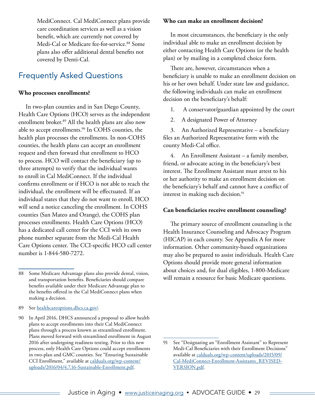<span id="page-28-0"></span>MediConnect. Cal MediConnect plans provide care coordination services as well as a vision benefit, which are currently not covered by Medi-Cal or Medicare fee-for-service.<sup>88</sup> Some plans also offer additional dental benefits not covered by Denti-Cal.

## Frequently Asked Questions

#### **Who processes enrollments?**

In two-plan counties and in San Diego County, Health Care Options (HCO) serves as the independent enrollment broker.<sup>89</sup> All the health plans are also now able to accept enrollments.<sup>90</sup> In COHS counties, the health plan processes the enrollments. In non-COHS counties, the health plans can accept an enrollment request and then forward that enrollment to HCO to process. HCO will contact the beneficiary (up to three attempts) to verify that the individual wants to enroll in Cal MediConnect. If the individual confirms enrollment or if HCO is not able to reach the individual, the enrollment will be effectuated. If an individual states that they do not want to enroll, HCO will send a notice canceling the enrollment. In COHS counties (San Mateo and Orange), the COHS plan processes enrollments. Health Care Options (HCO) has a dedicated call center for the CCI with its own phone number separate from the Medi-Cal Health Care Options center. The CCI-specific HCO call center number is 1-844‐580-7272.

#### **Who can make an enrollment decision?**

In most circumstances, the beneficiary is the only individual able to make an enrollment decision by either contacting Health Care Options (or the health plan) or by mailing in a completed choice form.

There are, however, circumstances when a beneficiary is unable to make an enrollment decision on his or her own behalf. Under state law and guidance, the following individuals can make an enrollment decision on the beneficiary's behalf:

- 1. A conservator/guardian appointed by the court
- 2. A designated Power of Attorney

3. An Authorized Representative – a beneficiary files an Authorized Representative form with the county Medi-Cal office.

4. An Enrollment Assistant – a family member, friend, or advocate acting in the beneficiary's best interest. The Enrollment Assistant must attest to his or her authority to make an enrollment decision on the beneficiary's behalf and cannot have a conflict of interest in making such decision.<sup>91</sup>

#### **Can beneficiaries receive enrollment counseling?**

The primary source of enrollment counseling is the Health Insurance Counseling and Advocacy Program (HICAP) in each county. See Appendix A for more information. Other community-based organizations may also be prepared to assist individuals. Health Care Options should provide more general information about choices and, for dual eligibles, 1-800-Medicare will remain a resource for basic Medicare questions.

<sup>88</sup> Some Medicare Advantage plans also provide dental, vision, and transportation benefits. Beneficiaries should compare benefits available under their Medicare Advantage plan to the benefits offered in the Cal MediConnect plans when making a decision.

<sup>89</sup> See [healthcareoptions.dhcs.ca.gov/](https://www.healthcareoptions.dhcs.ca.gov/).

<sup>90</sup> In April 2016, DHCS announced a proposal to allow health plans to accept enrollments into their Cal MediConnect plans through a process known as streamlined enrollment. Plans moved forward with streamlined enrollment in August 2016 after undergoing readiness testing. Prior to this new process, only Health Care Options could accept enrollments in two-plan and GMC counties. See "Ensuring Sustainable CCI Enrollment," available at [calduals.org/wp-content/](http://www.calduals.org/wp-content/uploads/2016/04/4.7.16-Sustainable-Enrollment.pdf) [uploads/2016/04/4.7.16-Sustainable-Enrollment.pdf.](http://www.calduals.org/wp-content/uploads/2016/04/4.7.16-Sustainable-Enrollment.pdf)

<sup>91</sup> See "Designating an "Enrollment Assistant" to Represent Medi-Cal Beneficiaries with their Enrollment Decisions" available at [calduals.org/wp-content/uploads/2015/09/](http://www.calduals.org/wp-content/uploads/2015/09/Cal-MediConnect-Enrollment-Assistants_REVISED-VERSION.pdf) [Cal-MediConnect-Enrollment-Assistants\\_REVISED-](http://www.calduals.org/wp-content/uploads/2015/09/Cal-MediConnect-Enrollment-Assistants_REVISED-VERSION.pdf)[VERSION.pdf](http://www.calduals.org/wp-content/uploads/2015/09/Cal-MediConnect-Enrollment-Assistants_REVISED-VERSION.pdf).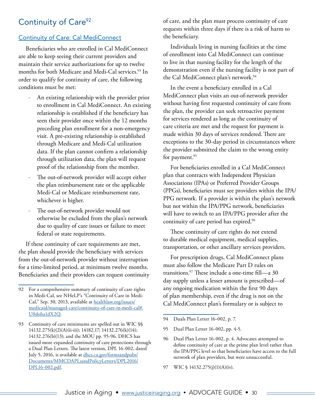## <span id="page-29-0"></span>Continuity of Care<sup>92</sup>

#### Continuity of Care: Cal MediConnect

Beneficiaries who are enrolled in Cal MediConnect are able to keep seeing their current providers and maintain their service authorizations for up to twelve months for both Medicare and Medi-Cal services.<sup>93</sup> In order to qualify for continuity of care, the following conditions must be met:

- ‐ An existing relationship with the provider prior to enrollment in Cal MediConnect. An existing relationship is established if the beneficiary has seen their provider once within the 12 months preceding plan enrollment for a non-emergency visit. A pre-existing relationship is established through Medicare and Medi-Cal utilization data. If the plan cannot confirm a relationship through utilization data, the plan will request proof of the relationship from the member.
- The out-of-network provider will accept either the plan reimbursement rate or the applicable Medi-Cal or Medicare reimbursement rate, whichever is higher.
- The out-of-network provider would not otherwise be excluded from the plan's network due to quality of care issues or failure to meet federal or state requirements.

If these continuity of care requirements are met, the plan should provide the beneficiary with services from the out-of-network provider without interruption for a time-limited period, at minimum twelve months. Beneficiaries and their providers can request continuity of care, and the plan must process continuity of care requests within three days if there is a risk of harm to the beneficiary.

Individuals living in nursing facilities at the time of enrollment into Cal MediConnect can continue to live in that nursing facility for the length of the demonstration even if the nursing facility is not part of the Cal MediConnect plan's network.<sup>94</sup>

In the event a beneficiary enrolled in a Cal MediConnect plan visits an out-of-network provider without having first requested continuity of care from the plan, the provider can seek retroactive payment for services rendered as long as the continuity of care criteria are met and the request for payment is made within 30 days of services rendered.There are exceptions to the 30-day period in circumstances where the provider submitted the claim to the wrong entity for payment.<sup>95</sup>

For beneficiaries enrolled in a Cal MediConnect plan that contracts with Independent Physician Associations (IPAs) or Preferred Provider Groups (PPGs), beneficiaries must see providers within the IPA/ PPG network. If a provider is within the plan's network but not within the IPA/PPG network, beneficiaries will have to switch to an IPA/PPG provider after the continuity of care period has expired.96

These continuity of care rights do not extend to durable medical equipment, medical supplies, transportation, or other ancillary services providers.

For prescription drugs, Cal MediConnect plans must also follow the Medicare Part D rules on transitions.97 These include a one-time fill—a 30 day supply unless a lesser amount is prescribed—of any ongoing medication within the first 90 days of plan membership, even if the drug is not on the Cal MediConnect plan's formulary or is subject to

- 94 Duals Plan Letter 16-002, p. 7.
- 95 Dual Plan Letter 16-002, pp. 4-5.
- 96 Dual Plan Letter 16-002, p. 4. Advocates attempted to define continuity of care at the prime plan level rather than the IPA/PPG level so that beneficiaries have access to the full network of plan providers, but were unsuccessful.
- 97 WIC § 14132.275(j)(1)(A)(iv).

<sup>92</sup> For a comprehensive summary of continuity of care rights in Medi-Cal, see NHeLP's "Continuity of Care in Medi-Cal," Sep. 30, 2013, available at [healthlaw.org/issues/](http://www.healthlaw.org/issues/medicaid/managed-care/continuity-of-care-in-medi-cal#.VXX2ic9Vikp) [medicaid/managed-care/continuity-of-care-in-medi-cal#.](http://www.healthlaw.org/issues/medicaid/managed-care/continuity-of-care-in-medi-cal#.VXX2ic9Vikp) [U0doha1dX2Q](http://www.healthlaw.org/issues/medicaid/managed-care/continuity-of-care-in-medi-cal#.VXX2ic9Vikp).

<sup>93</sup> Continuity of care minimums are spelled out in WIC §§ 14132.275(k)(2)(A)(ii-iii); 14182.17; 14132.276(k)(14); 14132.276(b)(13); and the MOU pp. 95-96. DHCS has issued more expanded continuity of care protections through a Dual Plan Letters. The latest version, DPL 16-002, dated July 5, 2016, is available at [dhcs.ca.gov/formsandpubs/](http://www.dhcs.ca.gov/formsandpubs/Documents/MMCDAPLsandPolicyLetters/DPL2016/DPL16-002.pdf) [Documents/MMCDAPLsandPolicyLetters/DPL2016/](http://www.dhcs.ca.gov/formsandpubs/Documents/MMCDAPLsandPolicyLetters/DPL2016/DPL16-002.pdf) [DPL16-002.pdf.](http://www.dhcs.ca.gov/formsandpubs/Documents/MMCDAPLsandPolicyLetters/DPL2016/DPL16-002.pdf)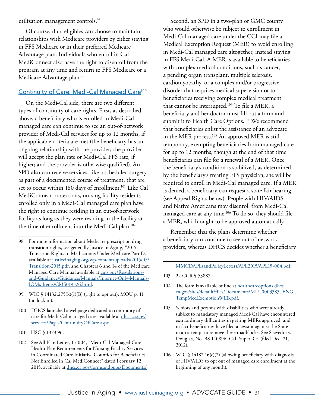<span id="page-30-0"></span>utilization management controls.98

Of course, dual eligibles can choose to maintain relationships with Medicare providers by either staying in FFS Medicare or in their preferred Medicare Advantage plan. Individuals who enroll in Cal MediConnect also have the right to disenroll from the program at any time and return to FFS Medicare or a Medicare Advantage plan.<sup>99</sup>

#### Continuity of Care: Medi-Cal Managed Care<sup>100</sup>

On the Medi-Cal side, there are two different types of continuity of care rights. First, as described above, a beneficiary who is enrolled in Medi-Cal managed care can continue to see an out-of-network provider of Medi-Cal services for up to 12 months, if the applicable criteria are met (the beneficiary has an ongoing relationship with the provider; the provider will accept the plan rate or Medi-Cal FFS rate, if higher; and the provider is otherwise qualified). An SPD also can receive services, like a scheduled surgery as part of a documented course of treatment, that are set to occur within 180 days of enrollment.<sup>101</sup> Like Cal MediConnect protections, nursing facility residents enrolled only in a Medi-Cal managed care plan have the right to continue residing in an out-of-network facility as long as they were residing in the facility at the time of enrollment into the Medi-Cal plan.102

- 101 HSC § 1373.96.
- 102 See All Plan Letter, 15-004, "Medi-Cal Managed Care Health Plan Requirements for Nursing Facility Services in Coordinated Care Initiative Counties for Beneficiaries Not Enrolled in Cal MediConnect" dated February 12, 2015, available at [dhcs.ca.gov/formsandpubs/Documents/](http://www.dhcs.ca.gov/formsandpubs/Documents/MMCDAPLsandPolicyLetters/APL2015/APL15-004.pdf)

Second, an SPD in a two-plan or GMC county who would otherwise be subject to enrollment in Medi-Cal managed care under the CCI may file a Medical Exemption Request (MER) to avoid enrolling in Medi-Cal managed care altogether, instead staying in FFS Medi-Cal. A MER is available to beneficiaries with complex medical conditions, such as cancer, a pending organ transplant, multiple sclerosis, cardiomyopathy, or a complex and/or progressive disorder that requires medical supervision or to beneficiaries receiving complex medical treatment that cannot be interrupted.103 To file a MER, a beneficiary and her doctor must fill out a form and submit it to Health Care Options.<sup>104</sup> We recommend that beneficiaries enlist the assistance of an advocate in the MER process.<sup>105</sup> An approved MER is still temporary, exempting beneficiaries from managed care for up to 12 months, though at the end of that time beneficiaries can file for a renewal of a MER. Once the beneficiary's condition is stabilized, as determined by the beneficiary's treating FFS physician, she will be required to enroll in Medi-Cal managed care. If a MER is denied, a beneficiary can request a state fair hearing (see Appeal Rights below). People with HIV/AIDS and Native Americans may disenroll from Medi-Cal managed care at any time.106 To do so, they should file a MER, which ought to be approved automatically.

Remember that the plans determine whether a beneficiary can continue to see out-of-network providers, whereas DHCS decides whether a beneficiary

#### [MMCDAPLsandPolicyLetters/APL2015/APL15-004.pdf](http://www.dhcs.ca.gov/formsandpubs/Documents/MMCDAPLsandPolicyLetters/APL2015/APL15-004.pdf).

- 103 22 CCR § 53887.
- 104 The form is available online at [healthcareoptions.dhcs.](https://www.healthcareoptions.dhcs.ca.gov/sites/default/files/Documents/MU_0003383_ENG_TempMedExemptionWEB.pdf) [ca.gov/sites/default/files/Documents/MU\\_0003383\\_ENG\\_](https://www.healthcareoptions.dhcs.ca.gov/sites/default/files/Documents/MU_0003383_ENG_TempMedExemptionWEB.pdf) [TempMedExemptionWEB.pdf.](https://www.healthcareoptions.dhcs.ca.gov/sites/default/files/Documents/MU_0003383_ENG_TempMedExemptionWEB.pdf)
- 105 Seniors and persons with disabilities who were already subject to mandatory managed Medi-Cal have encountered extraordinary difficulties in getting MERs approved, and in fact beneficiaries have filed a lawsuit against the State in an attempt to remove these roadblocks. See Saavedra v. Douglas, No. BS 140896, Cal. Super. Ct. (filed Dec. 21, 2012).
- 106 WIC § 14182.16(c)(2) (allowing beneficiary with diagnosis of HIV/AIDS to opt out of managed care enrollment at the beginning of any month).

<sup>98</sup> For more information about Medicare prescription drug transition rights, see generally Justice in Aging, "2015 Transition Rights to Medications Under Medicare Part D," available at [justiceinaging.org/wp-content/uploads/2015/05/](http://justiceinaging.org/wp-content/uploads/2015/05/Transition-2015.pdf) [Transition-2015.pdf](http://justiceinaging.org/wp-content/uploads/2015/05/Transition-2015.pdf), and Chapters 6 and 14 of the Medicare Managed Care Manual available at [cms.gov/Regulations](http://www.cms.gov/Regulations-and-Guidance/Guidance/Manuals/Internet-Only-Manuals-IOMs-Items/CMS019326.html)[and-Guidance/Guidance/Manuals/Internet-Only-Manuals-](http://www.cms.gov/Regulations-and-Guidance/Guidance/Manuals/Internet-Only-Manuals-IOMs-Items/CMS019326.html)[IOMs-Items/CMS019326.html.](http://www.cms.gov/Regulations-and-Guidance/Guidance/Manuals/Internet-Only-Manuals-IOMs-Items/CMS019326.html)

<sup>99</sup> WIC § 14132.275(k)(1)(B) (right to opt out); MOU p. 11 (no lock-in).

<sup>100</sup> DHCS launched a webpage dedicated to continuity of care for Medi-Cal managed care available at [dhcs.ca.gov/](http://www.dhcs.ca.gov/services/Pages/ContinuityOfCare.aspx) [services/Pages/ContinuityOfCare.aspx](http://www.dhcs.ca.gov/services/Pages/ContinuityOfCare.aspx).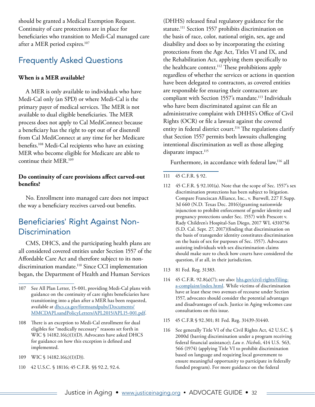<span id="page-31-0"></span>should be granted a Medical Exemption Request. Continuity of care protections are in place for beneficiaries who transition to Medi-Cal managed care after a MER period expires.107

## Frequently Asked Questions

#### **When is a MER available?**

A MER is only available to individuals who have Medi-Cal only (an SPD) or where Medi-Cal is the primary payer of medical services. The MER is not available to dual eligible beneficiaries. The MER process does not apply to Cal MediConnect because a beneficiary has the right to opt out of or disenroll from Cal MediConnect at any time for her Medicare benefits.108 Medi-Cal recipients who have an existing MER who become eligible for Medicare are able to continue their MER.109

#### **Do continuity of care provisions affect carved-out benefits?**

No. Enrollment into managed care does not impact the way a beneficiary receives carved-out benefits.

## Beneficiaries' Right Against Non-**Discrimination**

CMS, DHCS, and the participating health plans are all considered covered entities under Section 1557 of the Affordable Care Act and therefore subject to its nondiscrimination mandate.<sup>110</sup> Since CCI implementation began, the Department of Health and Human Services

- 109 WIC § 14182.16(c)(1)(D)).
- 110 42 U.S.C. § 18116; 45 C.F.R. §§ 92.2, 92.4.

(DHHS) released final regulatory guidance for the statute.<sup>111</sup> Section 1557 prohibits discrimination on the basis of race, color, national origin, sex, age and disability and does so by incorporating the existing protections from the Age Act, Titles VI and IX, and the Rehabilitation Act, applying them specifically to the healthcare context.<sup>112</sup> These prohibitions apply regardless of whether the services or actions in question have been delegated to contractors, as covered entities are responsible for ensuring their contractors are compliant with Section 1557's mandate.<sup>113</sup> Individuals who have been discriminated against can file an administrative complaint with DHHS's Office of Civil Rights (OCR) or file a lawsuit against the covered entity in federal district court.<sup>114</sup> The regulations clarify that Section 1557 permits both lawsuits challenging intentional discrimination as well as those alleging disparate impact.<sup>115</sup>

Furthermore, in accordance with federal law,<sup>116</sup> all

- 112 45 C.F.R. § 92.101(a). Note that the scope of Sec. 1557's sex discrimination protections has been subject to litigation. Compare Franciscan Alliance, Inc., v. Burwell, 227 F.Supp. 3d 660 (N.D. Texas Dec. 2016)(granting nationwide injunction to prohibit enforcement of gender identity and pregnancy protections under Sec. 1557) with Prescott v. Rady Children's Hospital-San Diego, 2017 WL 4310756 (S.D. Cal. Sept. 27, 2017)(finding that discrimination on the basis of transgender identity constitutes discrimination on the basis of sex for purposes of Sec. 1557). Advocates assisting individuals with sex discrimination claims should make sure to check how courts have considered the question, if at all, in their jurisdiction.
- 113 81 Fed. Reg. 31383.
- 114 45 C.F.R. 92.8(a)(7); see also: [hhs.gov/civil-rights/filing](http://www.hhs.gov/civil-rights/filing-a-complaint/index.html)[a-complaint/index.html](http://www.hhs.gov/civil-rights/filing-a-complaint/index.html). While victims of discrimination have at least these two avenues of recourse under Section 1557, advocates should consider the potential advantages and disadvantages of each. Justice in Aging welcomes case consultations on this issue.
- 115 45 C.F.R § 92.301; 81 Fed. Reg. 31439-31440.
- 116 See generally Title VI of the Civil Rights Act, 42 U.S.C. § 2000d (barring discrimination under a program receiving federal financial assistance); *Lau v. Nichols*, 414 U.S. 563, 566 (1974) (applying Title VI to prohibit discrimination based on language and requiring local government to ensure meaningful opportunity to participate in federally funded program). For more guidance on the federal

<sup>107</sup> See All Plan Letter, 15-001, providing Medi-Cal plans with guidance on the continuity of care rights beneficiaries have transitioning into a plan after a MER has been requested, available at [dhcs.ca.gov/formsandpubs/D](http://www.dhcs.ca.gov/formsandpubs/Documents/MMCDAPLsandPolicyLetters/APL2015/APL15-001.pdf)ocuments/ MMCDAPLsandPolicyLetters/APL2015/APL15-001.pdf.

<sup>108</sup> There is an exception to Medi-Cal enrollment for dual eligibles for "medically necessary" reasons set forth in WIC § 14182.16(c)(1)(D). Advocates have asked DHCS for guidance on how this exception is defined and implemented.

<sup>111</sup> 45 C.F.R. § 92.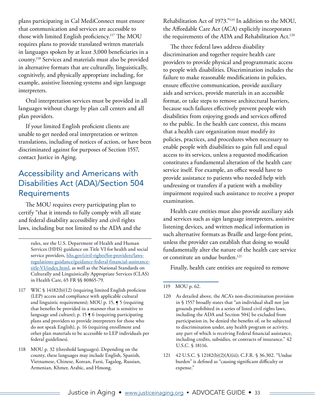<span id="page-32-0"></span>plans participating in Cal MediConnect must ensure that communication and services are accessible to those with limited English proficiency.117 The MOU requires plans to provide translated written materials in languages spoken by at least 3,000 beneficiaries in a county.118 Services and materials must also be provided in alternative formats that are culturally, linguistically, cognitively, and physically appropriate including, for example, assistive listening systems and sign language interpreters.

Oral interpretation services must be provided in all languages without charge by plan call centers and all plan providers.

If your limited English proficient clients are unable to get needed oral interpretation or written translations, including of notices of action, or have been discriminated against for purposes of Section 1557, contact Justice in Aging.

## Accessibility and Americans with Disabilities Act (ADA)/Section 504 **Requirements**

The MOU requires every participating plan to certify "that it intends to fully comply with all state and federal disability accessibility and civil rights laws, including but not limited to the ADA and the

rules, see the U.S. Department of Health and Human Services (HHS) guidance on Title VI for health and social service providers, [hhs.gov/civil-rights/for-providers/laws](http://www.hhs.gov/civil-rights/for-providers/laws-regulations-guidance/guidance-federal-financial-assistance-title-VI/index.html)[regulations-guidance/guidance-federal-financial-assistance](http://www.hhs.gov/civil-rights/for-providers/laws-regulations-guidance/guidance-federal-financial-assistance-title-VI/index.html)[title-VI/index.html,](http://www.hhs.gov/civil-rights/for-providers/laws-regulations-guidance/guidance-federal-financial-assistance-title-VI/index.html) as well as the National Standards on Culturally and Linguistically Appropriate Services (CLAS) in Health Care, 65 FR §§ 80865-79.

- 117 WIC § 14182(b)(12) (requiring limited English proficient (LEP) access and compliance with applicable cultural and linguistic requirements); MOU p. 15, ¶ 5 (requiring that benefits be provided in a manner that is sensitive to language and culture); p. 15 ¶ 6 (requiring participating plans and providers to provide interpreters for those who do not speak English), p. 16 (requiring enrollment and other plan materials to be accessible to LEP individuals per federal guidelines).
- 118 MOU p. 32 (threshold languages). Depending on the county, these languages may include English, Spanish, Vietnamese, Chinese, Korean, Farsi, Tagalog, Russian, Armenian, Khmer, Arabic, and Hmong.

Rehabilitation Act of 1973."119 In addition to the MOU, the Affordable Care Act (ACA) explicitly incorporates the requirements of the ADA and Rehabilitation Act.<sup>120</sup>

The three federal laws address disability discrimination and together require health care providers to provide physical and programmatic access to people with disabilities. Discrimination includes the failure to make reasonable modifications in policies, ensure effective communication, provide auxiliary aids and services, provide materials in an accessible format, or take steps to remove architectural barriers, because such failures effectively prevent people with disabilities from enjoying goods and services offered to the public. In the health care context, this means that a health care organization must modify its policies, practices, and procedures when necessary to enable people with disabilities to gain full and equal access to its services, unless a requested modification constitutes a fundamental alteration of the health care service itself. For example, an office would have to provide assistance to patients who needed help with undressing or transfers if a patient with a mobility impairment required such assistance to receive a proper examination.

Health care entities must also provide auxiliary aids and services such as sign language interpreters, assistive listening devices, and written medical information in such alternative formats as Braille and large-font print, unless the provider can establish that doing so would fundamentally alter the nature of the health care service or constitute an undue burden.<sup>121</sup>

Finally, health care entities are required to remove

- 120 As detailed above, the ACA's non-discrimination provision in § 1557 broadly states that "an individual shall not [on grounds prohibited in a series of listed civil rights laws, including the ADA and Section 504] be excluded from participation in, be denied the benefits of, or be subjected to discrimination under, any health program or activity, any part of which is receiving Federal financial assistance, including credits, subsidies, or contracts of insurance." 42 U.S.C. § 18116.
- 121 42 U.S.C. § 12182(b)(2)(A)(iii); C.F.R. § 36.302. "Undue burden" is defined as "causing significant difficulty or expense."

<sup>119</sup> MOU p. 62.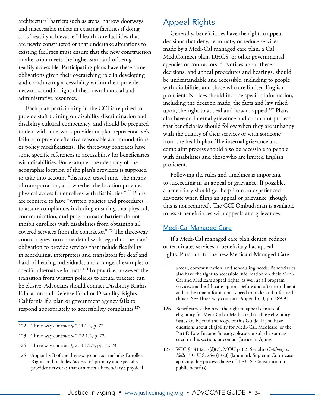<span id="page-33-0"></span>architectural barriers such as steps, narrow doorways, and inaccessible toilets in existing facilities if doing so is "readily achievable." Health care facilities that are newly constructed or that undertake alterations to existing facilities must ensure that the new construction or alteration meets the higher standard of being readily accessible. Participating plans have these same obligations given their overarching role in developing and coordinating accessibility within their provider networks, and in light of their own financial and administrative resources.

Each plan participating in the CCI is required to provide staff training on disability discrimination and disability cultural competency, and should be prepared to deal with a network provider or plan representative's failure to provide effective reasonable accommodations or policy modifications. The three-way contracts have some specific references to accessibility for beneficiaries with disabilities. For example, the adequacy of the geographic location of the plan's providers is supposed to take into account "distance, travel time, the means of transportation, and whether the location provides physical access for enrollees with disabilities."122 Plans are required to have "written policies and procedures to assure compliance, including ensuring that physical, communication, and programmatic barriers do not inhibit enrollees with disabilities from obtaining all covered services from the contractor."123 The three-way contract goes into some detail with regard to the plan's obligation to provide services that include flexibility in scheduling, interpreters and translators for deaf and hard-of-hearing individuals, and a range of examples of specific alternative formats.124 In practice, however, the transition from written policies to actual practice can be elusive. Advocates should contact Disability Rights Education and Defense Fund or Disability Rights California if a plan or government agency fails to respond appropriately to accessibility complaints.<sup>125</sup>

- 123 Three-way contract § 2.22.1.2, p. 72.
- 124 Three-way contract § 2.11.1.2.3, pp. 72-73.
- 125 Appendix B of the three-way contract includes Enrollee Rights and includes "access to" primary and specialty provider networks that can meet a beneficiary's physical

### Appeal Rights

Generally, beneficiaries have the right to appeal decisions that deny, terminate, or reduce services made by a Medi-Cal managed care plan, a Cal MediConnect plan, DHCS, or other governmental agencies or contractors.<sup>126</sup> Notices about these decisions, and appeal procedures and hearings, should be understandable and accessible, including to people with disabilities and those who are limited English proficient. Notices should include specific information, including the decision made, the facts and law relied upon, the right to appeal and how to appeal.<sup>127</sup> Plans also have an internal grievance and complaint process that beneficiaries should follow when they are unhappy with the quality of their services or with someone from the health plan. The internal grievance and complaint process should also be accessible to people with disabilities and those who are limited English proficient.

Following the rules and timelines is important to succeeding in an appeal or grievance. If possible, a beneficiary should get help from an experienced advocate when filing an appeal or grievance (though this is not required). The CCI Ombudsman is available to assist beneficiaries with appeals and grievances.

#### Medi-Cal Managed Care

If a Medi-Cal managed care plan denies, reduces or terminates services, a beneficiary has appeal rights. Pursuant to the new Medicaid Managed Care

access, communication, and scheduling needs. Beneficiaries also have the right to accessible information on their Medi-Cal and Medicare appeal rights, as well as all program services and health care options before and after enrollment and at the time information is need to make and informed choice. See Three-way contract, Appendix B, pp. 189-91.

- 126 Beneficiaries also have the right to appeal denials of eligibility for Medi-Cal or Medicare, but those eligibility issues are beyond the scope of this Guide. If you have questions about eligibility for Medi-Cal, Medicare, or the Part D Low Income Subsidy, please consult the sources cited in this section, or contact Justice in Aging.
- 127 WIC § 14182.17(d)(7); MOU p. 82. See also *Goldberg v. Kelly*, 397 U.S. 254 (1970) (landmark Supreme Court case applying due process clause of the U.S. Constitution to public benefits).

<sup>122</sup> Three-way contract § 2.11.1.2, p. 72.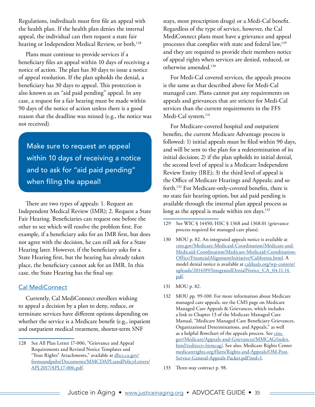<span id="page-34-0"></span>Regulations, indivdiuals must first file an appeal with the health plan. If the health plan denies the internal appeal, the individual can then request a state fair hearing or Independent Medical Review, or both.<sup>128</sup>

Plans must continue to provide services if a beneficiary files an appeal within 10 days of receiving a notice of action. The plan has 30 days to issue a notice of appeal resolution. If the plan upholds the denial, a beneficiary has 30 days to appeal. This protection is also known as an "aid paid pending" appeal. In any case, a request for a fair hearing must be made within 90 days of the notice of action unless there is a good reason that the deadline was missed (e.g., the notice was not received).

Make sure to request an appeal within 10 days of receiving a notice and to ask for "aid paid pending" when filing the appeal!

There are two types of appeals: 1. Request an Independent Medical Review (IMR); 2. Request a State Fair Hearing. Beneficiaries can request one before the other to see which will resolve the problem first. For example, if a beneficiary asks for an IMR first, but does not agree with the decision, he can still ask for a State Hearing later. However, if the beneficiary asks for a State Hearing first, but the hearing has already taken place, the beneficiary cannot ask for an IMR. In this case, the State Hearing has the final say.

#### Cal MediConnect

Currently, Cal MediConnect enrollees wishing to appeal a decision by a plan to deny, reduce, or terminate services have different options depending on whether the service is a Medicare benefit (e.g., inpatient and outpatient medical treatment, shorter-term SNF

stays, most prescription drugs) or a Medi-Cal benefit. Regardless of the type of service, however, the Cal MediConnect plans must have a grievance and appeal processes that complies with state and federal law,<sup>129</sup> and they are required to provide their members notice of appeal rights when services are denied, reduced, or otherwise amended.130

For Medi-Cal covered services, the appeals process is the same as that described above for Medi-Cal managed care. Plans cannot put any requirements on appeals and grievances that are stricter for Medi-Cal services than the current requirements in the FFS Medi-Cal system.<sup>131</sup>

For Medicare-covered hospital and outpatient benefits, the current Medicare Advantage process is followed: 1) initial appeals must be filed within 90 days, and will be sent to the plan for a redetermination of its initial decision; 2) if the plan upholds its initial denial, the second level of appeal is a Medicare Independent Review Entity (IRE); 3) the third level of appeal is the Office of Medicare Hearings and Appeals; and so forth.132 For Medicare-only-covered benefits, there is no state fair hearing option, but aid paid pending is available through the internal plan appeal process as long as the appeal is made within ten days.<sup>133</sup>

- 129 See WIC § 14450; HSC § 1368 and 1368.01 (grievance process required for managed care plans).
- 130 MOU p. 82. An integrated appeals notice is available at [cms.gov/Medicare-Medicaid-Coordination/Medicare-and-](http://www.cms.gov/Medicare-Medicaid-Coordination/Medicare-and-Medicaid-Coordination/Medicare-Medicaid-Coordination-Office/FinancialAlignmentInitiative/California.html)[Medicaid-Coordination/Medicare-Medicaid-Coordination-](http://www.cms.gov/Medicare-Medicaid-Coordination/Medicare-and-Medicaid-Coordination/Medicare-Medicaid-Coordination-Office/FinancialAlignmentInitiative/California.html)[Office/FinancialAlignmentInitiative/California.html](http://www.cms.gov/Medicare-Medicaid-Coordination/Medicare-and-Medicaid-Coordination/Medicare-Medicaid-Coordination-Office/FinancialAlignmentInitiative/California.html). A model denial notice is available at [calduals.org/wp-content/](http://www.calduals.org/wp-content/uploads/2014/09/IntegratedDenialNotice_CA_04.11.14.pdf) [uploads/2014/09/IntegratedDenialNotice\\_CA\\_04.11.14.](http://www.calduals.org/wp-content/uploads/2014/09/IntegratedDenialNotice_CA_04.11.14.pdf) [pdf](http://www.calduals.org/wp-content/uploads/2014/09/IntegratedDenialNotice_CA_04.11.14.pdf).
- 131 MOU p. 82.
- 132 MOU pp. 99-100. For more information about Medicare managed care appeals, see the CMS page on Medicare Managed Care Appeals & Grievances, which includes a link to Chapter 13 of the Medicare Managed Care Manual, "Medicare Managed Care Beneficiary Grievances, Organizational Determinations, and Appeals," as well as a helpful flowchart of the appeals process. See [cms.](http://www.cms.gov/Medicare/Appeals-and-Grievances/MMCAG/index.html?redirect=/mmcag/) [gov/Medicare/Appeals-and-Grievances/MMCAG/index.](http://www.cms.gov/Medicare/Appeals-and-Grievances/MMCAG/index.html?redirect=/mmcag/) [html?redirect=/mmcag/.](http://www.cms.gov/Medicare/Appeals-and-Grievances/MMCAG/index.html?redirect=/mmcag/) See also, Medicare Rights Center [medicarerights.org/fliers/Rights-and-Appeals/OM-Post-](http://www.medicarerights.org/fliers/Rights-and-Appeals/OM-Post-Service-General-Appeals-Packet.pdf?nrd=1)[Service-General-Appeals-Packet.pdf?nrd=1](http://www.medicarerights.org/fliers/Rights-and-Appeals/OM-Post-Service-General-Appeals-Packet.pdf?nrd=1).

133 Three-way contract p. 98.

<sup>128</sup> See All Plan Letter 17-006, "Grievance and Appeal Requirements and Revised Notice Templates and "Your Rights" Attachments," available at [dhcs.ca.gov/](http://www.dhcs.ca.gov/formsandpubs/Documents/MMCDAPLsandPolicyLetters/APL2017/APL17-006.pdf) [formsandpubs/Documents/MMCDAPLsandPolicyLetters/](http://www.dhcs.ca.gov/formsandpubs/Documents/MMCDAPLsandPolicyLetters/APL2017/APL17-006.pdf) [APL2017/APL17-006.pdf.](http://www.dhcs.ca.gov/formsandpubs/Documents/MMCDAPLsandPolicyLetters/APL2017/APL17-006.pdf)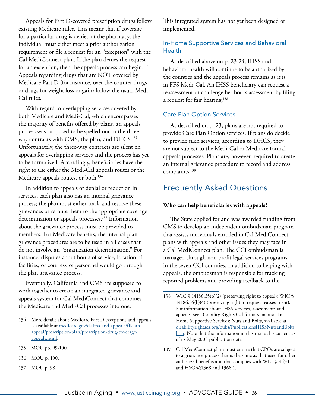<span id="page-35-0"></span>Appeals for Part D-covered prescription drugs follow existing Medicare rules. This means that if coverage for a particular drug is denied at the pharmacy, the individual must either meet a prior authorization requirement or file a request for an "exception" with the Cal MediConnect plan. If the plan denies the request for an exception, then the appeals process can begin.<sup>134</sup> Appeals regarding drugs that are NOT covered by Medicare Part D (for instance, over-the-counter drugs, or drugs for weight loss or gain) follow the usual Medi-Cal rules.

With regard to overlapping services covered by both Medicare and Medi-Cal, which encompasses the majority of benefits offered by plans, an appeals process was supposed to be spelled out in the threeway contracts with CMS, the plan, and DHCS.<sup>135</sup> Unfortunately, the three-way contracts are silent on appeals for overlapping services and the process has yet to be formalized. Accordingly, beneficiaries have the right to use either the Medi-Cal appeals routes or the Medicare appeals routes, or both.<sup>136</sup>

In addition to appeals of denial or reduction in services, each plan also has an internal grievance process; the plan must either track and resolve these grievances or reroute them to the appropriate coverage determination or appeals processes.<sup>137</sup> Information about the grievance process must be provided to members. For Medicare benefits, the internal plan grievance procedures are to be used in all cases that do not involve an "organization determination." For instance, disputes about hours of service, location of facilities, or courtesy of personnel would go through the plan grievance process.

Eventually, California and CMS are supposed to work together to create an integrated grievance and appeals system for Cal MediConnect that combines the Medicare and Medi-Cal processes into one.

- 135 MOU pp. 99-100.
- 136 MOU p. 100.
- 137 MOU p. 98.

This integrated system has not yet been designed or implemented.

#### In-Home Supportive Services and Behavioral **Health**

As described above on p. 23-24, IHSS and behavioral health will continue to be authorized by the counties and the appeals process remains as it is in FFS Medi-Cal. An IHSS beneficiary can request a reassessment or challenge her hours assessment by filing a request for fair hearing.<sup>138</sup>

#### Care Plan Option Services

As described on p. 23, plans are not required to provide Care Plan Option services. If plans do decide to provide such services, according to DHCS, they are not subject to the Medi-Cal or Medicare formal appeals processes. Plans are, however, required to create an internal grievance procedure to record and address complaints.139

## Frequently Asked Questions

#### **Who can help beneficiaries with appeals?**

The State applied for and was awarded funding from CMS to develop an independent ombudsman program that assists individuals enrolled in Cal MediConnect plans with appeals and other issues they may face in a Cal MediConnect plan. The CCI ombudsman is managed through non-profit legal services programs in the seven CCI counties. In addition to helping with appeals, the ombudsman is responsible for tracking reported problems and providing feedback to the

<sup>134</sup> More details about Medicare Part D exceptions and appeals is available at [medicare.gov/claims-and-appeals/file-an](http://www.medicare.gov/claims-and-appeals/file-an-appeal/prescription-plan/prescription-drug-coverage-appeals.html)[appeal/prescription-plan/prescription-drug-coverage](http://www.medicare.gov/claims-and-appeals/file-an-appeal/prescription-plan/prescription-drug-coverage-appeals.html)[appeals.html.](http://www.medicare.gov/claims-and-appeals/file-an-appeal/prescription-plan/prescription-drug-coverage-appeals.html)

<sup>138</sup> WIC § 14186.35(b)(2) (preserving right to appeal); WIC § 14186.35(b)(4) (preserving right to request reassessment). For information about IHSS services, assessments and appeals, see Disability Rights California's manual, In-Home Supportive Services: Nuts and Bolts, available at [disabilityrightsca.org/pubs/PublicationsIHSSNutsandBolts.](http://www.disabilityrightsca.org/pubs/PublicationsIHSSNutsandBolts.htm) [htm](http://www.disabilityrightsca.org/pubs/PublicationsIHSSNutsandBolts.htm). Note that the information in this manual is current as of its May 2008 publication date.

<sup>139</sup> Cal MediConnect plans must ensure that CPOs are subject to a grievance process that is the same as that used for other authorized benefits and that complies with WIC §14450 and HSC §§1368 and 1368.1.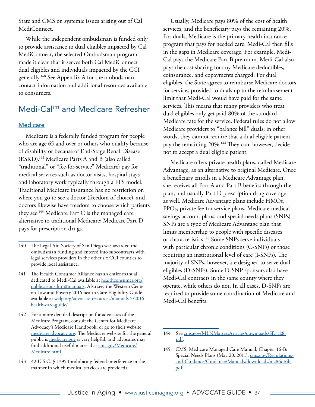<span id="page-36-0"></span>State and CMS on systemic issues arising out of Cal MediConnect.

While the independent ombudsman is funded only to provide assistance to dual eligibles impacted by Cal MediConnect, the selected Ombudsman program made it clear that it serves both Cal MediConnect dual eligibles and individuals impacted by the CCI generally.140 See Appendix A for the ombudsman contact information and additional resources available to consumers.

## Medi-Cal141 and Medicare Refresher

#### **Medicare**

Medicare is a federally funded program for people who are age 65 and over or others who qualify because of disability or because of End-Stage Renal Disease (ESRD).142 Medicare Parts A and B (also called "traditional" or "fee-for-service" Medicare) pay for medical services such as doctor visits, hospital stays and laboratory work typically through a FFS model. Traditional Medicare insurance has no restriction on where you go to see a doctor (freedom of choice), and doctors likewise have freedom to choose which patients they see.<sup>143</sup> Medicare Part C is the managed care alternative to traditional Medicare; Medicare Part D pays for prescription drugs.

Usually, Medicare pays 80% of the cost of health services, and the beneficiary pays the remaining 20%. For duals, Medicare is the primary health insurance program that pays for needed care. Medi-Cal then fills in the gaps in Medicare coverage. For example, Medi-Cal pays the Medicare Part B premium. Medi-Cal also pays the cost sharing for any Medicare deductibles, coinsurance, and copayments charged. For dual eligibles, the State agrees to reimburse Medicare doctors for services provided to duals up to the reimbursement limit that Medi-Cal would have paid for the same services. This means that many providers who treat dual eligibles only get paid 80% of the standard Medicare rate for the service. Federal rules do not allow Medicare providers to "balance bill" duals; in other words, they cannot require that a dual eligible patient pay the remaining 20%.144 They can, however, decide not to accept a dual eligible patient.

Medicare offers private health plans, called Medicare Advantage, as an alternative to original Medicare. Once a beneficiary enrolls in a Medicare Advantage plan, she receives all Part A and Part B benefits through the plan, and usually Part D prescription drug coverage as well. Medicare Advantage plans include HMOs, PPOs, private fee-for-service plans, Medicare medical savings account plans, and special needs plans (SNPs). SNPs are a type of Medicare Advantage plan that limits membership to people with specific diseases or characteristics.<sup>145</sup> Some SNPs serve individuals with particular chronic conditions (C-SNPs) or those requiring an institutional level of care (I-SNPs). The majority of SNPs, however, are designed to serve dual eligibles (D-SNPs). Some D-SNP sponsors also have Medi-Cal contracts in the same county where they operate, while others do not. In all cases, D-SNPs are required to provide some coordination of Medicare and Medi-Cal benefits.

<sup>140</sup> The Legal Aid Society of San Diego was awarded the ombudsman funding and entered into subcontracts with legal services providers in the other six CCI counties to provide local assistance.

<sup>141</sup> The Health Consumer Alliance has an entire manual dedicated to Medi-Cal available at [healthconsumer.org/](http://healthconsumer.org/publications.htm#manuals) [publications.htm#manuals](http://healthconsumer.org/publications.htm#manuals). Also see, the Western Center on Law and Poverty 2016 health Care Eligibility Guide available at [wclp.org/advocate-resources/manuals-2/2016](https://wclp.org/advocate-resources/manuals-2/2016-health-care-guide/) [health-care-guide/](https://wclp.org/advocate-resources/manuals-2/2016-health-care-guide/).

<sup>142</sup> For a more detailed description for advocates of the Medicare Program, consult the Center for Medicare Advocacy's Medicare Handbook, or go to their website, [medicareadvocacy.org](http://www.medicareadvocacy.org/). The Medicare website for the general public is [medicare.gov](http://www.medicare.gov/) is very helpful, and advocates may find additional useful material at [cms.gov/Medicare/](http://www.cms.gov/Medicare/Medicare.html) [Medicare.html.](http://www.cms.gov/Medicare/Medicare.html)

<sup>143 42</sup> U.S.C. § 1395 (prohibiting federal interference in the manner in which medical services are provided).

<sup>144</sup> See [cms.gov/MLNMattersArticles/downloads/SE1128.](https://www.cms.gov/Outreach-and-Education/Medicare-Learning-Network-MLN/MLNMattersArticles/downloads/SE1128.pdf) [pdf](https://www.cms.gov/Outreach-and-Education/Medicare-Learning-Network-MLN/MLNMattersArticles/downloads/SE1128.pdf).

<sup>145</sup> CMS, Medicare Managed Care Manual, Chapter 16-B: Special Needs Plans (May 20, 2011), [cms.gov/Regulations](http://www.cms.gov/Regulations-and-Guidance/Guidance/Manuals/downloads/mc86c16b.pdf)[and-Guidance/Guidance/Manuals/downloads/mc86c16b.](http://www.cms.gov/Regulations-and-Guidance/Guidance/Manuals/downloads/mc86c16b.pdf) [pdf.](http://www.cms.gov/Regulations-and-Guidance/Guidance/Manuals/downloads/mc86c16b.pdf)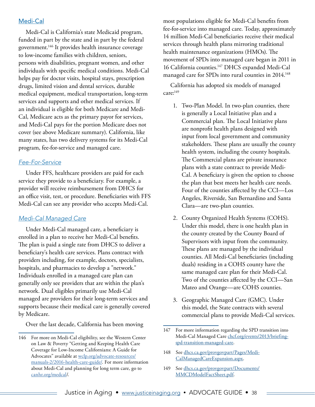#### <span id="page-37-0"></span>Medi-Cal

Medi‐Cal is California's state Medicaid program, funded in part by the state and in part by the federal government.146 It provides health insurance coverage to low-income families with children, seniors, persons with disabilities, pregnant women, and other individuals with specific medical conditions. Medi-Cal helps pay for doctor visits, hospital stays, prescription drugs, limited vision and dental services, durable medical equipment, medical transportation, long-term services and supports and other medical services. If an individual is eligible for both Medicare and Medi-Cal, Medicare acts as the primary payor for services, and Medi-Cal pays for the portion Medicare does not cover (see above Medicare summary). California, like many states, has two delivery systems for its Medi-Cal program, fee-for-service and managed care.

#### *Fee-For-Service*

Under FFS, healthcare providers are paid for each service they provide to a beneficiary. For example, a provider will receive reimbursement from DHCS for an office visit, test, or procedure. Beneficiaries with FFS Medi-Cal can see any provider who accepts Medi-Cal.

#### *Medi-Cal Managed Care*

Under Medi-Cal managed care, a beneficiary is enrolled in a plan to receive her Medi-Cal benefits. The plan is paid a single rate from DHCS to deliver a beneficiary's health care services. Plans contract with providers including, for example, doctors, specialists, hospitals, and pharmacies to develop a "network." Individuals enrolled in a managed care plan can generally only see providers that are within the plan's network. Dual eligibles primarily use Medi-Cal managed are providers for their long-term services and supports because their medical care is generally covered by Medicare.

Over the last decade, California has been moving

most populations eligible for Medi-Cal benefits from fee-for-service into managed care. Today, approximately 14 million Medi-Cal beneficiaries receive their medical services through health plans mirroring traditional health maintenance organizations (HMOs). The movement of SPDs into managed care began in 2011 in 16 California counties.147 DHCS expanded Medi-Cal managed care for SPDs into rural counties in 2014.<sup>148</sup>

California has adopted six models of managed care:149

- 1. Two-Plan Model. In two-plan counties, there is generally a Local Initiative plan and a Commercial plan. The Local Initiative plans are nonprofit health plans designed with input from local government and community stakeholders. These plans are usually the county health system, including the county hospitals. The Commercial plans are private insurance plans with a state contract to provide Medi-Cal. A beneficiary is given the option to choose the plan that best meets her health care needs. Four of the counties affected by the CCI—Los Angeles, Riverside, San Bernardino and Santa Clara—are two-plan counties.
- 2. County Organized Health Systems (COHS). Under this model, there is one health plan in the county created by the County Board of Supervisors with input from the community. These plans are managed by the individual counties. All Medi-Cal beneficiaries (including duals) residing in a COHS county have the same managed care plan for their Medi-Cal. Two of the counties affected by the CCI—San Mateo and Orange—are COHS counties.
- 3. Geographic Managed Care (GMC). Under this model, the State contracts with several commercial plans to provide Medi-Cal services.

- 148 See [dhcs.ca.gov/provgovpart/Pages/Medi-](http://www.dhcs.ca.gov/services/Pages/Medi-CalManagedCare.aspx)[CalManagedCareExpansion.aspx](http://www.dhcs.ca.gov/services/Pages/Medi-CalManagedCare.aspx).
- 149 See [dhcs.ca.gov/provgovpart/Documents/](http://www.dhcs.ca.gov/provgovpart/Documents/MMCDModelFactSheet.pdf) [MMCDModelFactSheet.pdf.](http://www.dhcs.ca.gov/provgovpart/Documents/MMCDModelFactSheet.pdf)

<sup>146</sup> For more on Medi-Cal eligibility, see the Western Center on Law & Poverty "Getting and Keeping Health Care Coverage for Low-Income Californians: A Guide for Advocates" available at [wclp.org/advocate-resources/](http://wclp.org/advocate-resources/manuals-2/2016-health-care-guide/) [manuals-2/2016-health-care-guide/](http://wclp.org/advocate-resources/manuals-2/2016-health-care-guide/). For more information about Medi-Cal and planning for long term care, go to [canhr.org/medcal](http://www.canhr.org/medcal/)/.

<sup>147</sup> For more information regarding the SPD transition into Medi-Cal Managed Care [chcf.org/events/2013/briefing](http://www.chcf.org/events/2013/briefing-spd-transition-managed-care)[spd-transition-managed-care](http://www.chcf.org/events/2013/briefing-spd-transition-managed-care).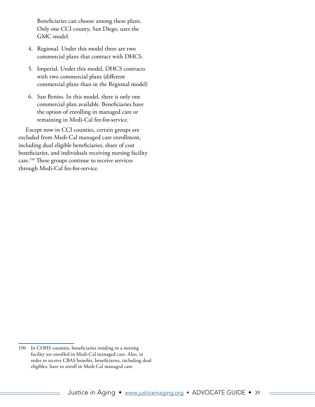Beneficiaries can choose among these plans. Only one CCI county, San Diego, uses the GMC model.

- 4. Regional. Under this model there are two commercial plans that contract with DHCS.
- 5. Imperial. Under this model, DHCS contracts with two commercial plans (different commercial plans than in the Regional model)
- 6. San Benito. In this model, there is only one commercial plan available. Beneficiaries have the option of enrolling in managed care or remaining in Medi-Cal fee-for-service.

Except now in CCI counties, certain groups are excluded from Medi-Cal managed care enrollment, including dual eligible beneficiaries, share of cost beneficiaries, and individuals receiving nursing facility care.150 These groups continue to receive services through Medi-Cal fee-for-service.

<sup>150</sup> In COHS counties, beneficiaries residing in a nursing facility are enrolled in Medi-Cal managed care. Also, in order to receive CBAS benefits, beneficiaries, including dual eligibles, have to enroll in Medi-Cal managed care.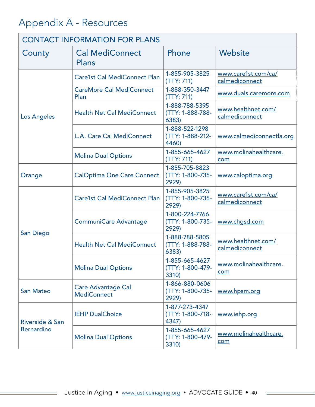## <span id="page-39-0"></span>Appendix A - Resources

| <b>CONTACT INFORMATION FOR PLANS</b> |                                                 |                                             |                                       |  |  |
|--------------------------------------|-------------------------------------------------|---------------------------------------------|---------------------------------------|--|--|
| County                               | <b>Cal MediConnect</b><br><b>Plans</b>          | Phone                                       | Website                               |  |  |
|                                      | <b>Care1st Cal MediConnect Plan</b>             | 1-855-905-3825<br>(TTY: 711)                | www.care1st.com/ca/<br>calmediconnect |  |  |
|                                      | <b>CareMore Cal MediConnect</b><br>Plan         | 1-888-350-3447<br>(TTY: 711)                | www.duals.caremore.com                |  |  |
| <b>Los Angeles</b>                   | <b>Health Net Cal MediConnect</b>               | 1-888-788-5395<br>(TTY: 1-888-788-<br>6383) | www.healthnet.com/<br>calmediconnect  |  |  |
|                                      | L.A. Care Cal MediConnect                       | 1-888-522-1298<br>(TTY: 1-888-212-<br>4460) | www.calmediconnectla.org              |  |  |
|                                      | <b>Molina Dual Options</b>                      | 1-855-665-4627<br>(TTY: 711)                | www.molinahealthcare.<br>com          |  |  |
| Orange                               | <b>CalOptima One Care Connect</b>               | 1-855-705-8823<br>(TTY: 1-800-735-<br>2929) | www.caloptima.org                     |  |  |
|                                      | <b>Care1st Cal MediConnect Plan</b>             | 1-855-905-3825<br>(TTY: 1-800-735-<br>2929) | www.care1st.com/ca/<br>calmediconnect |  |  |
|                                      | <b>CommuniCare Advantage</b>                    | 1-800-224-7766<br>(TTY: 1-800-735-<br>2929) | www.chgsd.com                         |  |  |
| <b>San Diego</b>                     | <b>Health Net Cal MediConnect</b>               | 1-888-788-5805<br>(TTY: 1-888-788-<br>6383) | www.healthnet.com/<br>calmediconnect  |  |  |
|                                      | <b>Molina Dual Options</b>                      | 1-855-665-4627<br>(TTY: 1-800-479-<br>3310) | www.molinahealthcare.<br>com          |  |  |
| <b>San Mateo</b>                     | <b>Care Advantage Cal</b><br><b>MediConnect</b> | 1-866-880-0606<br>(TTY: 1-800-735-<br>2929) | www.hpsm.org                          |  |  |
| Riverside & San<br><b>Bernardino</b> | <b>IEHP DualChoice</b>                          | 1-877-273-4347<br>(TTY: 1-800-718-<br>4347) | www.iehp.org                          |  |  |
|                                      | <b>Molina Dual Options</b>                      | 1-855-665-4627<br>(TTY: 1-800-479-<br>3310) | www.molinahealthcare.<br>com          |  |  |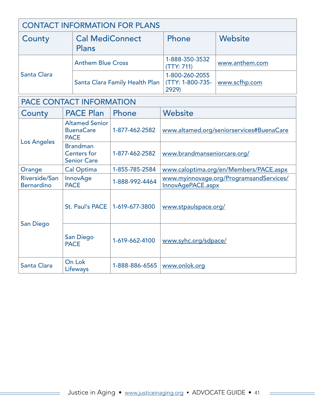| <b>CONTACT INFORMATION FOR PLANS</b> |                                 |                                             |                |  |  |
|--------------------------------------|---------------------------------|---------------------------------------------|----------------|--|--|
| County                               | <b>Cal MediConnect</b><br>Plans | Phone                                       | <b>Website</b> |  |  |
|                                      | <b>Anthem Blue Cross</b>        | 1-888-350-3532<br>(TTY: 711)                | www.anthem.com |  |  |
| Santa Clara                          | Santa Clara Family Health Plan  | 1-800-260-2055<br>(TTY: 1-800-735-<br>2929) | www.scfhp.com  |  |  |
|                                      |                                 |                                             |                |  |  |

## PACE CONTACT INFORMATION

| County                             | <b>PACE Plan</b>                                            | Phone          | Website                                                      |
|------------------------------------|-------------------------------------------------------------|----------------|--------------------------------------------------------------|
| <b>Los Angeles</b>                 | <b>Altamed Senior</b><br><b>BuenaCare</b><br><b>PACE</b>    | 1-877-462-2582 | www.altamed.org/seniorservices#BuenaCare                     |
|                                    | <b>Brandman</b><br><b>Centers for</b><br><b>Senior Care</b> | 1-877-462-2582 | www.brandmanseniorcare.org/                                  |
| Orange                             | <b>Cal Optima</b>                                           | 1-855-785-2584 | www.caloptima.org/en/Members/PACE.aspx                       |
| Riverside/San<br><b>Bernardino</b> | <b>InnovAge</b><br><b>PACE</b>                              | 1-888-992-4464 | www.myinnovage.org/ProgramsandServices/<br>InnovAgePACE.aspx |
| San Diego                          | St. Paul's PACE                                             | 1-619-677-3800 | www.stpaulspace.org/                                         |
|                                    | San Diego<br><b>PACE</b>                                    | 1-619-662-4100 | www.syhc.org/sdpace/                                         |
| <b>Santa Clara</b>                 | On Lok<br>Lifeways                                          | 1-888-886-6565 | www.onlok.org                                                |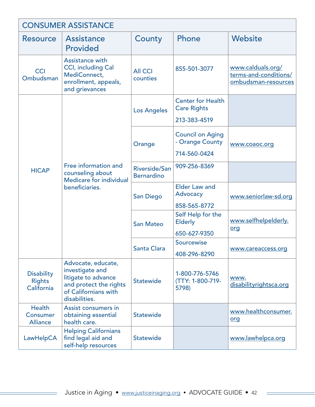| <b>CONSUMER ASSISTANCE</b>                       |                                                                                                                                 |                                    |                                                                |                                                                   |
|--------------------------------------------------|---------------------------------------------------------------------------------------------------------------------------------|------------------------------------|----------------------------------------------------------------|-------------------------------------------------------------------|
| <b>Resource</b>                                  | <b>Assistance</b><br>Provided                                                                                                   | County                             | Phone                                                          | Website                                                           |
| <b>CCI</b><br>Ombudsman                          | Assistance with<br><b>CCI, including Cal</b><br>MediConnect,<br>enrollment, appeals,<br>and grievances                          | <b>All CCI</b><br>counties         | 855-501-3077                                                   | www.calduals.org/<br>terms-and-conditions/<br>ombudsman-resources |
| <b>HICAP</b>                                     | Free information and<br>counseling about<br><b>Medicare for individual</b><br>beneficiaries.                                    | <b>Los Angeles</b>                 | <b>Center for Health</b><br><b>Care Rights</b><br>213-383-4519 |                                                                   |
|                                                  |                                                                                                                                 | Orange                             | <b>Council on Aging</b><br>- Orange County<br>714-560-0424     | www.coaoc.org                                                     |
|                                                  |                                                                                                                                 | Riverside/San<br><b>Bernardino</b> | 909-256-8369                                                   |                                                                   |
|                                                  |                                                                                                                                 | <b>San Diego</b>                   | <b>Elder Law and</b><br>Advocacy<br>858-565-8772               | www.seniorlaw-sd.org                                              |
|                                                  |                                                                                                                                 | <b>San Mateo</b>                   | Self Help for the<br><b>Elderly</b><br>650-627-9350            | www.selfhelpelderly.<br>org                                       |
|                                                  |                                                                                                                                 | <b>Santa Clara</b>                 | Sourcewise<br>408-296-8290                                     | www.careaccess.org                                                |
| <b>Disability</b><br><b>Rights</b><br>California | Advocate, educate,<br>investigate and<br>litigate to advance<br>and protect the rights<br>of Californians with<br>disabilities. | <b>Statewide</b>                   | 1-800-776-5746<br>(TTY: 1-800-719-<br>5798)                    | www.<br>disabilityrightsca.org                                    |
| <b>Health</b><br>Consumer<br><b>Alliance</b>     | Assist consumers in<br>obtaining essential<br>health care.                                                                      | Statewide                          |                                                                | www.healthconsumer.<br>org                                        |
| LawHelpCA                                        | <b>Helping Californians</b><br>find legal aid and<br>self-help resources                                                        | <b>Statewide</b>                   |                                                                | www.lawhelpca.org                                                 |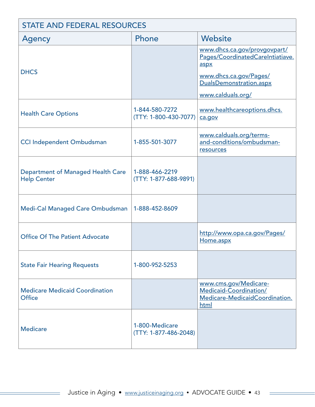| <b>STATE AND FEDERAL RESOURCES</b>                             |                                         |                                                                                                                                                    |  |
|----------------------------------------------------------------|-----------------------------------------|----------------------------------------------------------------------------------------------------------------------------------------------------|--|
| Agency                                                         | Phone                                   | Website                                                                                                                                            |  |
| <b>DHCS</b>                                                    |                                         | www.dhcs.ca.gov/provgovpart/<br>Pages/CoordinatedCareIntiatiave.<br>aspx<br>www.dhcs.ca.gov/Pages/<br>DualsDemonstration.aspx<br>www.calduals.org/ |  |
| <b>Health Care Options</b>                                     | 1-844-580-7272<br>(TTY: 1-800-430-7077) | www.healthcareoptions.dhcs.<br>ca.gov                                                                                                              |  |
| <b>CCI Independent Ombudsman</b>                               | 1-855-501-3077                          | www.calduals.org/terms-<br>and-conditions/ombudsman-<br>resources                                                                                  |  |
| <b>Department of Managed Health Care</b><br><b>Help Center</b> | 1-888-466-2219<br>(TTY: 1-877-688-9891) |                                                                                                                                                    |  |
| Medi-Cal Managed Care Ombudsman                                | 1-888-452-8609                          |                                                                                                                                                    |  |
| <b>Office Of The Patient Advocate</b>                          |                                         | http://www.opa.ca.gov/Pages/<br>Home.aspx                                                                                                          |  |
| <b>State Fair Hearing Requests</b>                             | 1-800-952-5253                          |                                                                                                                                                    |  |
| <b>Medicare Medicaid Coordination</b><br><b>Office</b>         |                                         | www.cms.gov/Medicare-<br>Medicaid-Coordination/<br>Medicare-MedicaidCoordination.<br>html                                                          |  |
| <b>Medicare</b>                                                | 1-800-Medicare<br>(TTY: 1-877-486-2048) |                                                                                                                                                    |  |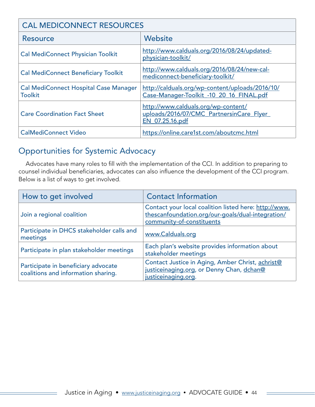| <b>CAL MEDICONNECT RESOURCES</b>                               |                                                                                                    |  |
|----------------------------------------------------------------|----------------------------------------------------------------------------------------------------|--|
| <b>Resource</b>                                                | Website                                                                                            |  |
| <b>Cal MediConnect Physician Toolkit</b>                       | http://www.calduals.org/2016/08/24/updated-<br>physician-toolkit/                                  |  |
| <b>Cal MediConnect Beneficiary Toolkit</b>                     | http://www.calduals.org/2016/08/24/new-cal-<br>mediconnect-beneficiary-toolkit/                    |  |
| <b>Cal MediConnect Hospital Case Manager</b><br><b>Toolkit</b> | http://calduals.org/wp-content/uploads/2016/10/<br>Case-Manager-Toolkit -10 20 16 FINAL.pdf        |  |
| <b>Care Coordination Fact Sheet</b>                            | http://www.calduals.org/wp-content/<br>uploads/2016/07/CMC PartnersinCare Flyer<br>EN 07.25.16.pdf |  |
| <b>CalMediConnect Video</b>                                    | https://online.care1st.com/aboutcmc.html                                                           |  |

## Opportunities for Systemic Advocacy

Advocates have many roles to fill with the implementation of the CCI. In addition to preparing to counsel individual beneficiaries, advocates can also influence the development of the CCI program. Below is a list of ways to get involved.

| How to get involved                                                        | <b>Contact Information</b>                                                                                                              |
|----------------------------------------------------------------------------|-----------------------------------------------------------------------------------------------------------------------------------------|
| Join a regional coalition                                                  | Contact your local coalition listed here: http://www.<br>thescanfoundation.org/our-goals/dual-integration/<br>community-of-constituents |
| Participate in DHCS stakeholder calls and<br>meetings                      | www.Calduals.org                                                                                                                        |
| Participate in plan stakeholder meetings                                   | Each plan's website provides information about<br>stakeholder meetings                                                                  |
| Participate in beneficiary advocate<br>coalitions and information sharing. | Contact Justice in Aging, Amber Christ, achrist@<br>justiceinaging.org, or Denny Chan, dchan@<br>justiceinaging.org.                    |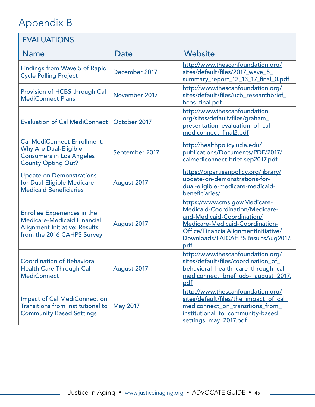## <span id="page-44-0"></span>Appendix B

 $=$ 

 $\overline{\phantom{0}}$ 

| <b>EVALUATIONS</b>                                                                                                                             |                 |                                                                                                                                                                                                                                     |  |
|------------------------------------------------------------------------------------------------------------------------------------------------|-----------------|-------------------------------------------------------------------------------------------------------------------------------------------------------------------------------------------------------------------------------------|--|
| <b>Name</b>                                                                                                                                    | Date            | Website                                                                                                                                                                                                                             |  |
| <b>Findings from Wave 5 of Rapid</b><br><b>Cycle Polling Project</b>                                                                           | December 2017   | http://www.thescanfoundation.org/<br>sites/default/files/2017 wave 5<br>summary report 12 13 17 final 0.pdf                                                                                                                         |  |
| Provision of HCBS through Cal<br><b>MediConnect Plans</b>                                                                                      | November 2017   | http://www.thescanfoundation.org/<br>sites/default/files/ucb researchbrief<br>hcbs final.pdf                                                                                                                                        |  |
| <b>Evaluation of Cal MediConnect</b>                                                                                                           | October 2017    | http://www.thescanfoundation.<br>org/sites/default/files/graham<br>presentation evaluation of cal<br>mediconnect final2.pdf                                                                                                         |  |
| <b>Cal MediConnect Enrollment:</b><br><b>Why Are Dual-Eligible</b><br><b>Consumers in Los Angeles</b><br><b>County Opting Out?</b>             | September 2017  | http://healthpolicy.ucla.edu/<br>publications/Documents/PDF/2017/<br>calmediconnect-brief-sep2017.pdf                                                                                                                               |  |
| <b>Update on Demonstrations</b><br>for Dual-Eligible Medicare-<br><b>Medicaid Beneficiaries</b>                                                | August 2017     | https://bipartisanpolicy.org/library/<br>update-on-demonstrations-for-<br>dual-eligible-medicare-medicaid-<br>beneficiaries/                                                                                                        |  |
| <b>Enrollee Experiences in the</b><br><b>Medicare-Medicaid Financial</b><br><b>Alignment Initiative: Results</b><br>from the 2016 CAHPS Survey | August 2017     | https://www.cms.gov/Medicare-<br><b>Medicaid-Coordination/Medicare-</b><br>and-Medicaid-Coordination/<br><b>Medicare-Medicaid-Coordination-</b><br>Office/FinancialAlignmentInitiative/<br>Downloads/FAICAHPSResultsAug2017.<br>pdf |  |
| <b>Coordination of Behavioral</b><br><b>Health Care Through Cal</b><br><b>MediConnect</b>                                                      | August 2017     | http://www.thescanfoundation.org/<br>sites/default/files/coordination of<br>behavioral_health_care_through_cal_<br>mediconnect brief ucb- august 2017.<br>pdf                                                                       |  |
| <b>Impact of Cal MediConnect on</b><br><b>Transitions from Institutional to</b><br><b>Community Based Settings</b>                             | <b>May 2017</b> | http://www.thescanfoundation.org/<br>sites/default/files/the impact of cal<br>mediconnect on transitions from<br>institutional to community-based<br>settings may 2017.pdf                                                          |  |

 $=$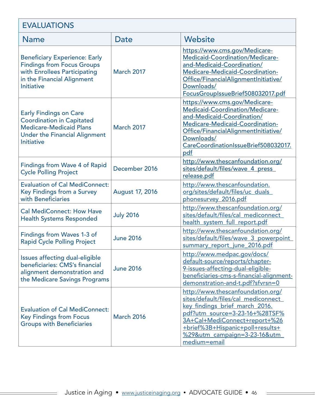| <b>EVALUATIONS</b>                                                                                                                                               |                        |                                                                                                                                                                                                                                                                                          |  |
|------------------------------------------------------------------------------------------------------------------------------------------------------------------|------------------------|------------------------------------------------------------------------------------------------------------------------------------------------------------------------------------------------------------------------------------------------------------------------------------------|--|
| <b>Name</b>                                                                                                                                                      | Date                   | Website                                                                                                                                                                                                                                                                                  |  |
| <b>Beneficiary Experience: Early</b><br><b>Findings from Focus Groups</b><br>with Enrollees Participating<br>in the Financial Alignment<br><b>Initiative</b>     | <b>March 2017</b>      | https://www.cms.gov/Medicare-<br><b>Medicaid-Coordination/Medicare-</b><br>and-Medicaid-Coordination/<br>Medicare-Medicaid-Coordination-<br>Office/FinancialAlignmentInitiative/<br>Downloads/<br>FocusGroupIssueBrief508032017.pdf                                                      |  |
| <b>Early Findings on Care</b><br><b>Coordination in Capitated</b><br><b>Medicare-Medicaid Plans</b><br><b>Under the Financial Alignment</b><br><b>Initiative</b> | <b>March 2017</b>      | https://www.cms.gov/Medicare-<br>Medicaid-Coordination/Medicare-<br>and-Medicaid-Coordination/<br>Medicare-Medicaid-Coordination-<br>Office/FinancialAlignmentInitiative/<br>Downloads/<br>CareCoordinationIssueBrief508032017.<br>pdf                                                   |  |
| <b>Findings from Wave 4 of Rapid</b><br><b>Cycle Polling Project</b>                                                                                             | December 2016          | http://www.thescanfoundation.org/<br>sites/default/files/wave 4 press<br>release.pdf                                                                                                                                                                                                     |  |
| <b>Evaluation of Cal MediConnect:</b><br>Key Findings from a Survey<br>with Beneficiaries                                                                        | <b>August 17, 2016</b> | http://www.thescanfoundation.<br>org/sites/default/files/uc_duals<br>phonesurvey 2016.pdf                                                                                                                                                                                                |  |
| <b>Cal MediConnect: How Have</b><br><b>Health Systems Responded</b>                                                                                              | <b>July 2016</b>       | http://www.thescanfoundation.org/<br>sites/default/files/cal mediconnect<br>health system full report.pdf                                                                                                                                                                                |  |
| Findings from Waves 1-3 of<br><b>Rapid Cycle Polling Project</b>                                                                                                 | <b>June 2016</b>       | http://www.thescanfoundation.org/<br>sites/default/files/wave 3 powerpoint<br>summary report june 2016.pdf                                                                                                                                                                               |  |
| Issues affecting dual-eligible<br>beneficiaries: CMS's financial<br>alignment demonstration and<br>the Medicare Savings Programs                                 | <b>June 2016</b>       | http://www.medpac.gov/docs/<br>default-source/reports/chapter-<br>9-issues-affecting-dual-eligible-<br>beneficiaries-cms-s-financial-alignment-<br>demonstration-and-t.pdf?sfvrsn=0                                                                                                      |  |
| <b>Evaluation of Cal MediConnect:</b><br><b>Key Findings from Focus</b><br><b>Groups with Beneficiaries</b>                                                      | <b>March 2016</b>      | http://www.thescanfoundation.org/<br>sites/default/files/cal mediconnect<br>key findings brief march 2016.<br><u>pdf?utm_source=3-23-16+%28TSF%</u><br>3A+Cal+MediConnect+report+%26<br>+brief%3B+Hispanic+poll+results+<br><u>%29&amp;utm_campaign=3-23-16&amp;utm_</u><br>medium=email |  |